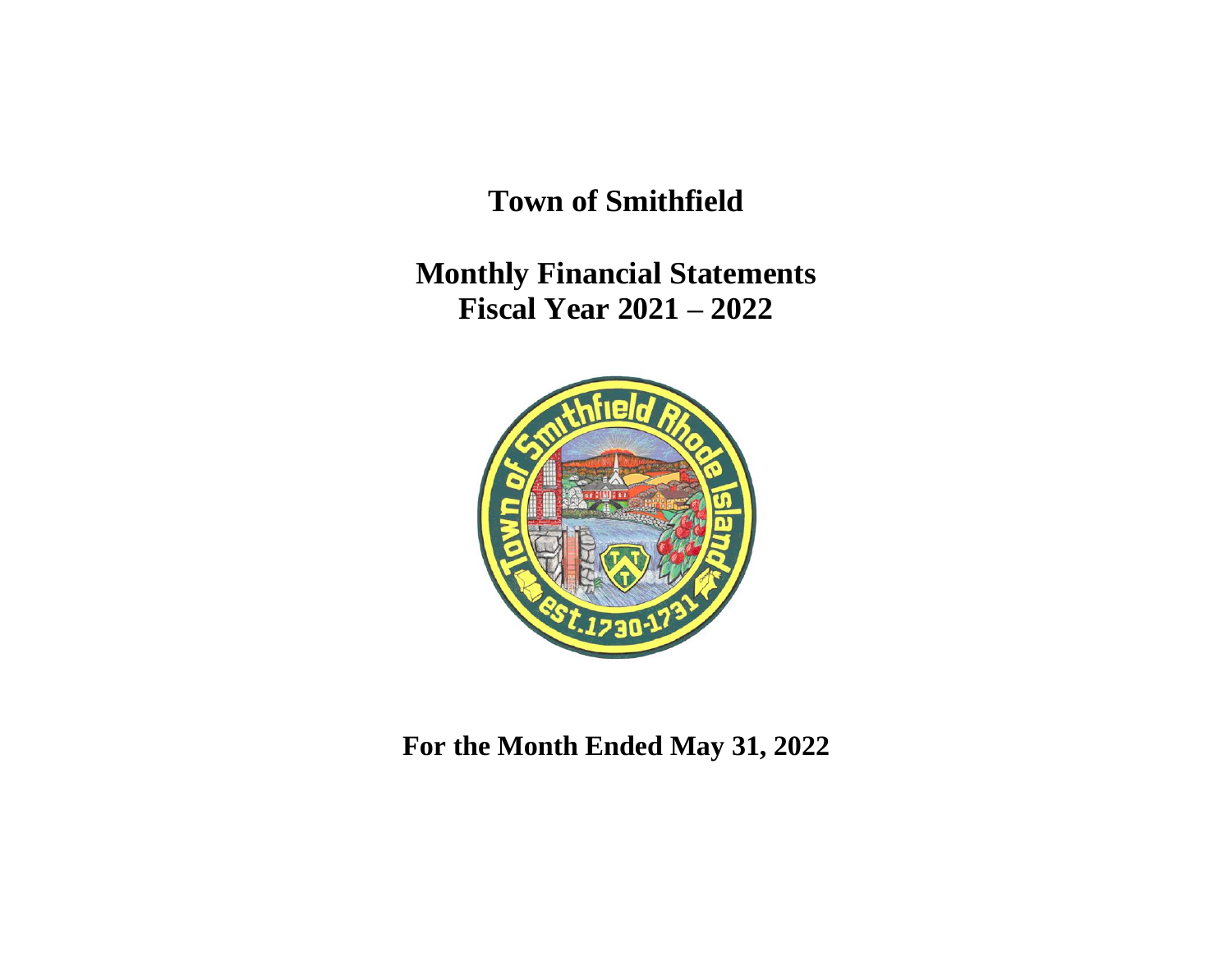# **Town of Smithfield**

**Monthly Financial Statements Fiscal Year 2021 – 2022**



**For the Month Ended May 31, 2022**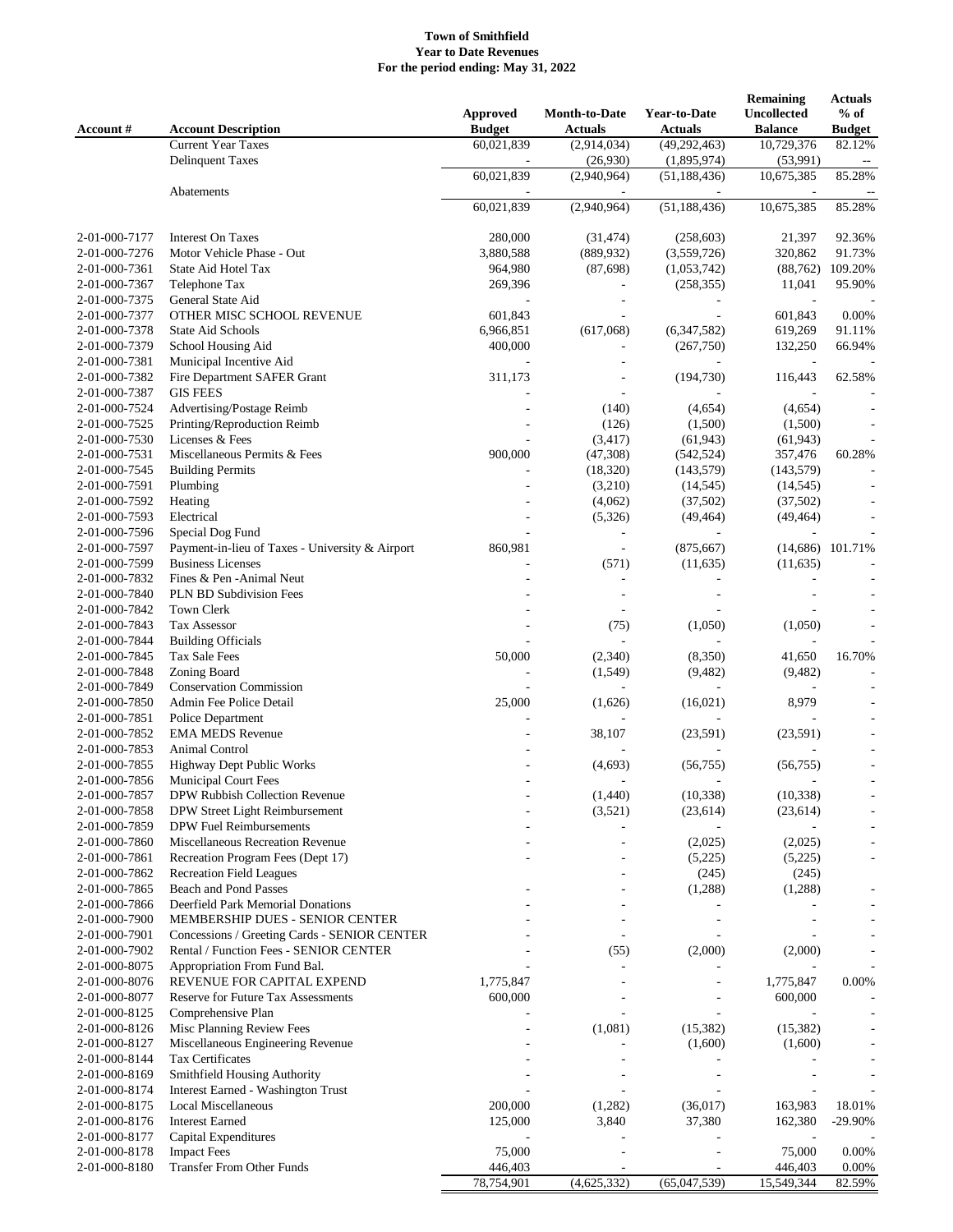#### **Town of Smithfield Year to Date Revenues For the period ending: May 31, 2022**

| Account #                      | <b>Account Description</b>                                                             | Approved<br><b>Budget</b> | <b>Month-to-Date</b><br><b>Actuals</b> | <b>Year-to-Date</b><br><b>Actuals</b> | Remaining<br><b>Uncollected</b><br><b>Balance</b> | <b>Actuals</b><br>$%$ of<br><b>Budget</b> |
|--------------------------------|----------------------------------------------------------------------------------------|---------------------------|----------------------------------------|---------------------------------------|---------------------------------------------------|-------------------------------------------|
|                                | <b>Current Year Taxes</b><br><b>Delinquent Taxes</b>                                   | 60,021,839                | (2,914,034)                            | (49, 292, 463)<br>(1,895,974)         | 10,729,376                                        | 82.12%                                    |
|                                |                                                                                        | 60,021,839                | (26,930)<br>(2,940,964)                | (51, 188, 436)                        | (53,991)<br>10,675,385                            | 85.28%                                    |
|                                | Abatements                                                                             |                           |                                        |                                       |                                                   |                                           |
|                                |                                                                                        | 60,021,839                | (2,940,964)                            | (51, 188, 436)                        | 10,675,385                                        | 85.28%                                    |
| 2-01-000-7177                  | <b>Interest On Taxes</b>                                                               | 280,000                   | (31, 474)                              | (258, 603)                            | 21,397                                            | 92.36%                                    |
| 2-01-000-7276                  | Motor Vehicle Phase - Out                                                              | 3,880,588                 | (889, 932)                             | (3,559,726)                           | 320,862                                           | 91.73%                                    |
| 2-01-000-7361                  | State Aid Hotel Tax                                                                    | 964,980                   | (87, 698)                              | (1,053,742)                           | (88, 762)                                         | 109.20%                                   |
| 2-01-000-7367                  | Telephone Tax                                                                          | 269,396                   |                                        | (258, 355)                            | 11,041                                            | 95.90%                                    |
| 2-01-000-7375                  | General State Aid                                                                      |                           |                                        |                                       | $\sim$                                            |                                           |
| 2-01-000-7377                  | OTHER MISC SCHOOL REVENUE                                                              | 601,843                   |                                        |                                       | 601,843                                           | 0.00%                                     |
| 2-01-000-7378<br>2-01-000-7379 | State Aid Schools<br>School Housing Aid                                                | 6,966,851<br>400,000      | (617,068)                              | (6,347,582)<br>(267,750)              | 619,269<br>132,250                                | 91.11%<br>66.94%                          |
| 2-01-000-7381                  | Municipal Incentive Aid                                                                |                           |                                        |                                       |                                                   |                                           |
| 2-01-000-7382                  | Fire Department SAFER Grant                                                            | 311,173                   | ä,                                     | (194, 730)                            | 116,443                                           | 62.58%                                    |
| 2-01-000-7387                  | <b>GIS FEES</b>                                                                        |                           |                                        |                                       |                                                   |                                           |
| 2-01-000-7524                  | Advertising/Postage Reimb                                                              |                           | (140)                                  | (4,654)                               | (4,654)                                           |                                           |
| 2-01-000-7525                  | Printing/Reproduction Reimb                                                            |                           | (126)                                  | (1,500)                               | (1,500)                                           |                                           |
| 2-01-000-7530                  | Licenses & Fees                                                                        |                           | (3, 417)                               | (61, 943)                             | (61, 943)                                         |                                           |
| 2-01-000-7531                  | Miscellaneous Permits & Fees                                                           | 900,000                   | (47, 308)                              | (542, 524)                            | 357,476                                           | 60.28%                                    |
| 2-01-000-7545                  | <b>Building Permits</b>                                                                |                           | (18, 320)                              | (143, 579)                            | (143, 579)                                        |                                           |
| 2-01-000-7591<br>2-01-000-7592 | Plumbing<br>Heating                                                                    |                           | (3,210)<br>(4,062)                     | (14, 545)<br>(37,502)                 | (14, 545)<br>(37,502)                             |                                           |
| 2-01-000-7593                  | Electrical                                                                             |                           | (5,326)                                | (49, 464)                             | (49, 464)                                         |                                           |
| 2-01-000-7596                  | Special Dog Fund                                                                       |                           | ٠                                      |                                       |                                                   |                                           |
| 2-01-000-7597                  | Payment-in-lieu of Taxes - University & Airport                                        | 860,981                   | $\overline{\phantom{a}}$               | (875, 667)                            |                                                   | $(14,686)$ 101.71%                        |
| 2-01-000-7599                  | <b>Business Licenses</b>                                                               |                           | (571)                                  | (11,635)                              | (11, 635)                                         |                                           |
| 2-01-000-7832                  | Fines & Pen - Animal Neut                                                              |                           | ٠                                      |                                       |                                                   |                                           |
| 2-01-000-7840                  | <b>PLN BD Subdivision Fees</b>                                                         |                           |                                        |                                       |                                                   |                                           |
| 2-01-000-7842                  | Town Clerk                                                                             |                           |                                        |                                       |                                                   |                                           |
| 2-01-000-7843                  | Tax Assessor                                                                           |                           | (75)                                   | (1,050)                               | (1,050)                                           |                                           |
| 2-01-000-7844<br>2-01-000-7845 | <b>Building Officials</b><br>Tax Sale Fees                                             | 50,000                    | (2,340)                                | (8,350)                               | 41,650                                            | 16.70%                                    |
| 2-01-000-7848                  | Zoning Board                                                                           |                           | (1,549)                                | (9,482)                               | (9,482)                                           |                                           |
| 2-01-000-7849                  | <b>Conservation Commission</b>                                                         |                           |                                        |                                       |                                                   |                                           |
| 2-01-000-7850                  | Admin Fee Police Detail                                                                | 25,000                    | (1,626)                                | (16,021)                              | 8,979                                             |                                           |
| 2-01-000-7851                  | Police Department                                                                      |                           |                                        |                                       |                                                   |                                           |
| 2-01-000-7852                  | <b>EMA MEDS Revenue</b>                                                                |                           | 38,107                                 | (23,591)                              | (23,591)                                          |                                           |
| 2-01-000-7853                  | Animal Control                                                                         |                           |                                        |                                       |                                                   |                                           |
| 2-01-000-7855                  | Highway Dept Public Works                                                              |                           | (4,693)                                | (56, 755)                             | (56,755)                                          |                                           |
| 2-01-000-7856<br>2-01-000-7857 | Municipal Court Fees<br>DPW Rubbish Collection Revenue                                 |                           | (1,440)                                | (10, 338)                             | (10, 338)                                         |                                           |
| 2-01-000-7858                  | DPW Street Light Reimbursement                                                         |                           | (3,521)                                | (23, 614)                             | (23, 614)                                         |                                           |
| 2-01-000-7859                  | DPW Fuel Reimbursements                                                                |                           |                                        |                                       |                                                   |                                           |
| 2-01-000-7860                  | Miscellaneous Recreation Revenue                                                       |                           |                                        | (2,025)                               | (2,025)                                           |                                           |
| 2-01-000-7861                  | Recreation Program Fees (Dept 17)                                                      |                           |                                        | (5,225)                               | (5,225)                                           |                                           |
| 2-01-000-7862                  | <b>Recreation Field Leagues</b>                                                        |                           |                                        | (245)                                 | (245)                                             |                                           |
| 2-01-000-7865                  | <b>Beach and Pond Passes</b>                                                           |                           |                                        | (1,288)                               | (1,288)                                           |                                           |
| 2-01-000-7866                  | Deerfield Park Memorial Donations                                                      |                           |                                        |                                       |                                                   |                                           |
| 2-01-000-7900                  | MEMBERSHIP DUES - SENIOR CENTER                                                        |                           |                                        |                                       |                                                   |                                           |
| 2-01-000-7901<br>2-01-000-7902 | Concessions / Greeting Cards - SENIOR CENTER<br>Rental / Function Fees - SENIOR CENTER |                           | (55)                                   | (2,000)                               | (2,000)                                           |                                           |
| 2-01-000-8075                  | Appropriation From Fund Bal.                                                           |                           |                                        |                                       |                                                   |                                           |
| 2-01-000-8076                  | REVENUE FOR CAPITAL EXPEND                                                             | 1,775,847                 |                                        |                                       | 1,775,847                                         | 0.00%                                     |
| 2-01-000-8077                  | Reserve for Future Tax Assessments                                                     | 600,000                   |                                        |                                       | 600,000                                           |                                           |
| 2-01-000-8125                  | Comprehensive Plan                                                                     |                           | ÷,                                     |                                       |                                                   |                                           |
| 2-01-000-8126                  | Misc Planning Review Fees                                                              |                           | (1,081)                                | (15,382)                              | (15,382)                                          |                                           |
| 2-01-000-8127                  | Miscellaneous Engineering Revenue                                                      |                           |                                        | (1,600)                               | (1,600)                                           |                                           |
| 2-01-000-8144                  | Tax Certificates                                                                       |                           |                                        |                                       |                                                   |                                           |
| 2-01-000-8169<br>2-01-000-8174 | Smithfield Housing Authority<br>Interest Earned - Washington Trust                     |                           |                                        |                                       |                                                   |                                           |
| 2-01-000-8175                  | Local Miscellaneous                                                                    | 200,000                   | (1,282)                                | (36,017)                              | 163,983                                           | 18.01%                                    |
| 2-01-000-8176                  | <b>Interest Earned</b>                                                                 | 125,000                   | 3,840                                  | 37,380                                | 162,380                                           | $-29.90%$                                 |
| 2-01-000-8177                  | Capital Expenditures                                                                   |                           |                                        |                                       |                                                   |                                           |
| 2-01-000-8178                  | <b>Impact Fees</b>                                                                     | 75,000                    |                                        |                                       | 75,000                                            | 0.00%                                     |
| 2-01-000-8180                  | <b>Transfer From Other Funds</b>                                                       | 446,403                   |                                        |                                       | 446,403                                           | 0.00%                                     |
|                                |                                                                                        | 78,754,901                | (4,625,332)                            | (65,047,539)                          | 15,549,344                                        | 82.59%                                    |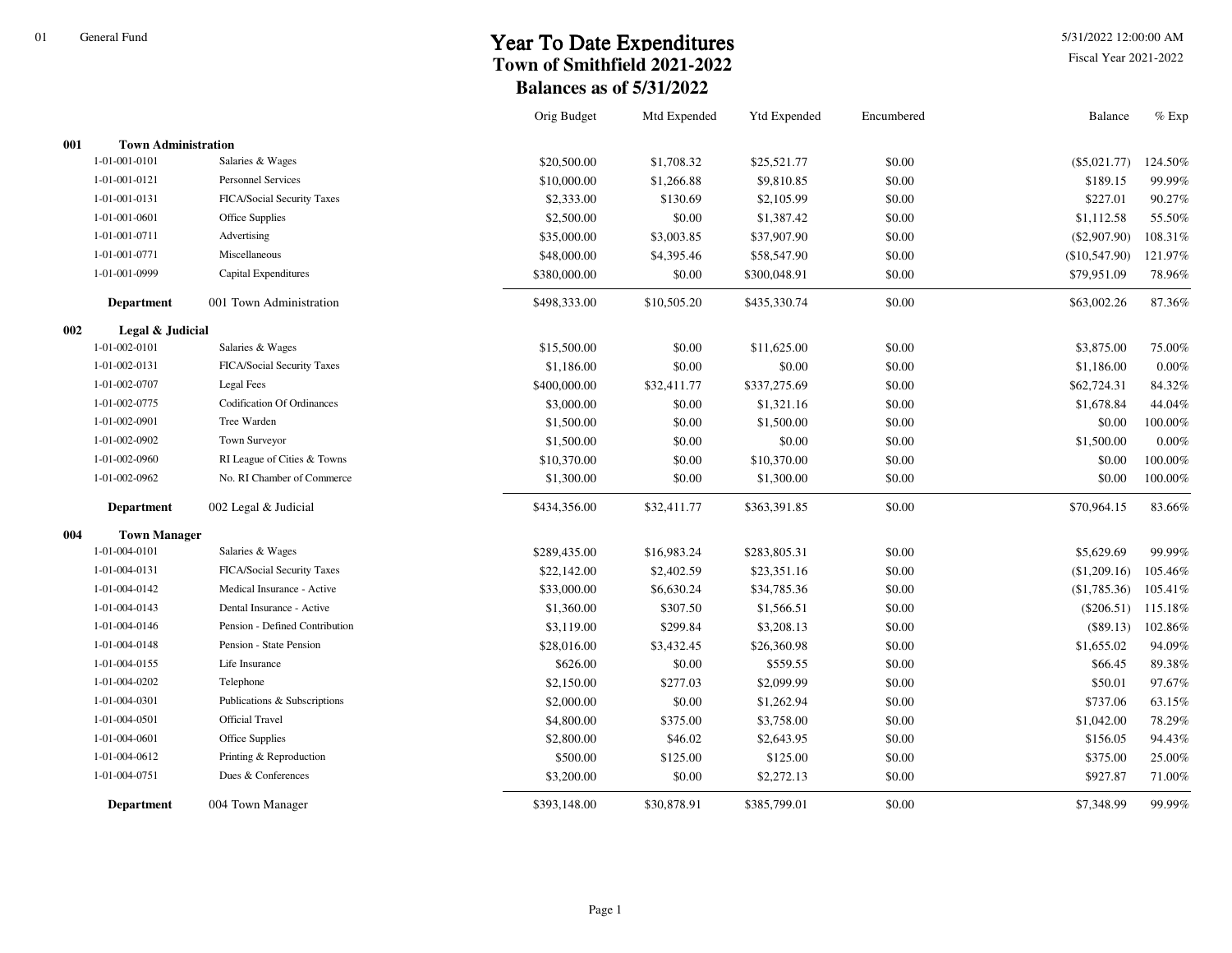5/31/2022 12:00:00 AM

|     |                            |                                   | Orig Budget  | Mtd Expended | Ytd Expended | Encumbered | <b>Balance</b> | $\%$ Exp |
|-----|----------------------------|-----------------------------------|--------------|--------------|--------------|------------|----------------|----------|
| 001 | <b>Town Administration</b> |                                   |              |              |              |            |                |          |
|     | 1-01-001-0101              | Salaries & Wages                  | \$20,500.00  | \$1,708.32   | \$25,521.77  | \$0.00     | $(\$5,021.77)$ | 124.50%  |
|     | 1-01-001-0121              | <b>Personnel Services</b>         | \$10,000.00  | \$1,266.88   | \$9,810.85   | \$0.00     | \$189.15       | 99.99%   |
|     | 1-01-001-0131              | FICA/Social Security Taxes        | \$2,333.00   | \$130.69     | \$2,105.99   | \$0.00     | \$227.01       | 90.27%   |
|     | 1-01-001-0601              | Office Supplies                   | \$2,500.00   | \$0.00       | \$1,387.42   | \$0.00     | \$1,112.58     | 55.50%   |
|     | 1-01-001-0711              | Advertising                       | \$35,000.00  | \$3,003.85   | \$37,907.90  | \$0.00     | $(\$2,907.90)$ | 108.31%  |
|     | 1-01-001-0771              | Miscellaneous                     | \$48,000.00  | \$4,395.46   | \$58,547.90  | \$0.00     | (\$10,547.90)  | 121.97%  |
|     | 1-01-001-0999              | Capital Expenditures              | \$380,000.00 | \$0.00       | \$300,048.91 | \$0.00     | \$79,951.09    | 78.96%   |
|     | <b>Department</b>          | 001 Town Administration           | \$498,333.00 | \$10,505.20  | \$435,330.74 | \$0.00     | \$63,002.26    | 87.36%   |
| 002 | Legal & Judicial           |                                   |              |              |              |            |                |          |
|     | 1-01-002-0101              | Salaries & Wages                  | \$15,500.00  | \$0.00       | \$11,625.00  | \$0.00     | \$3,875.00     | 75.00%   |
|     | 1-01-002-0131              | FICA/Social Security Taxes        | \$1,186.00   | \$0.00       | \$0.00       | \$0.00     | \$1,186.00     | 0.00%    |
|     | 1-01-002-0707              | <b>Legal Fees</b>                 | \$400,000.00 | \$32,411.77  | \$337,275.69 | \$0.00     | \$62,724.31    | 84.32%   |
|     | 1-01-002-0775              | <b>Codification Of Ordinances</b> | \$3,000.00   | \$0.00       | \$1,321.16   | \$0.00     | \$1,678.84     | 44.04%   |
|     | 1-01-002-0901              | Tree Warden                       | \$1,500.00   | \$0.00       | \$1,500.00   | \$0.00     | \$0.00         | 100.00%  |
|     | 1-01-002-0902              | Town Surveyor                     | \$1,500.00   | \$0.00       | \$0.00       | \$0.00     | \$1,500.00     | 0.00%    |
|     | 1-01-002-0960              | RI League of Cities & Towns       | \$10,370.00  | \$0.00       | \$10,370.00  | \$0.00     | \$0.00         | 100.00%  |
|     | 1-01-002-0962              | No. RI Chamber of Commerce        | \$1,300.00   | \$0.00       | \$1,300.00   | \$0.00     | \$0.00         | 100.00%  |
|     | <b>Department</b>          | 002 Legal & Judicial              | \$434,356.00 | \$32,411.77  | \$363,391.85 | \$0.00     | \$70,964.15    | 83.66%   |
| 004 | <b>Town Manager</b>        |                                   |              |              |              |            |                |          |
|     | 1-01-004-0101              | Salaries & Wages                  | \$289,435.00 | \$16,983.24  | \$283,805.31 | \$0.00     | \$5,629.69     | 99.99%   |
|     | 1-01-004-0131              | FICA/Social Security Taxes        | \$22,142.00  | \$2,402.59   | \$23,351.16  | \$0.00     | (\$1,209.16)   | 105.46%  |
|     | 1-01-004-0142              | Medical Insurance - Active        | \$33,000.00  | \$6,630.24   | \$34,785.36  | \$0.00     | (\$1,785.36)   | 105.41%  |
|     | 1-01-004-0143              | Dental Insurance - Active         | \$1,360.00   | \$307.50     | \$1,566.51   | \$0.00     | $(\$206.51)$   | 115.18%  |
|     | 1-01-004-0146              | Pension - Defined Contribution    | \$3,119.00   | \$299.84     | \$3,208.13   | \$0.00     | (\$89.13)      | 102.86%  |
|     | 1-01-004-0148              | Pension - State Pension           | \$28,016.00  | \$3,432.45   | \$26,360.98  | \$0.00     | \$1,655.02     | 94.09%   |
|     | 1-01-004-0155              | Life Insurance                    | \$626.00     | \$0.00       | \$559.55     | \$0.00     | \$66.45        | 89.38%   |
|     | 1-01-004-0202              | Telephone                         | \$2,150.00   | \$277.03     | \$2,099.99   | \$0.00     | \$50.01        | 97.67%   |
|     | 1-01-004-0301              | Publications & Subscriptions      | \$2,000.00   | \$0.00       | \$1,262.94   | \$0.00     | \$737.06       | 63.15%   |
|     | 1-01-004-0501              | <b>Official Travel</b>            | \$4,800.00   | \$375.00     | \$3,758.00   | \$0.00     | \$1,042.00     | 78.29%   |
|     | 1-01-004-0601              | Office Supplies                   | \$2,800.00   | \$46.02      | \$2,643.95   | \$0.00     | \$156.05       | 94.43%   |
|     | 1-01-004-0612              | Printing & Reproduction           | \$500.00     | \$125.00     | \$125.00     | \$0.00     | \$375.00       | 25.00%   |
|     | 1-01-004-0751              | Dues & Conferences                | \$3,200.00   | \$0.00       | \$2,272.13   | \$0.00     | \$927.87       | 71.00%   |
|     | <b>Department</b>          | 004 Town Manager                  | \$393,148.00 | \$30,878.91  | \$385,799.01 | \$0.00     | \$7,348.99     | 99.99%   |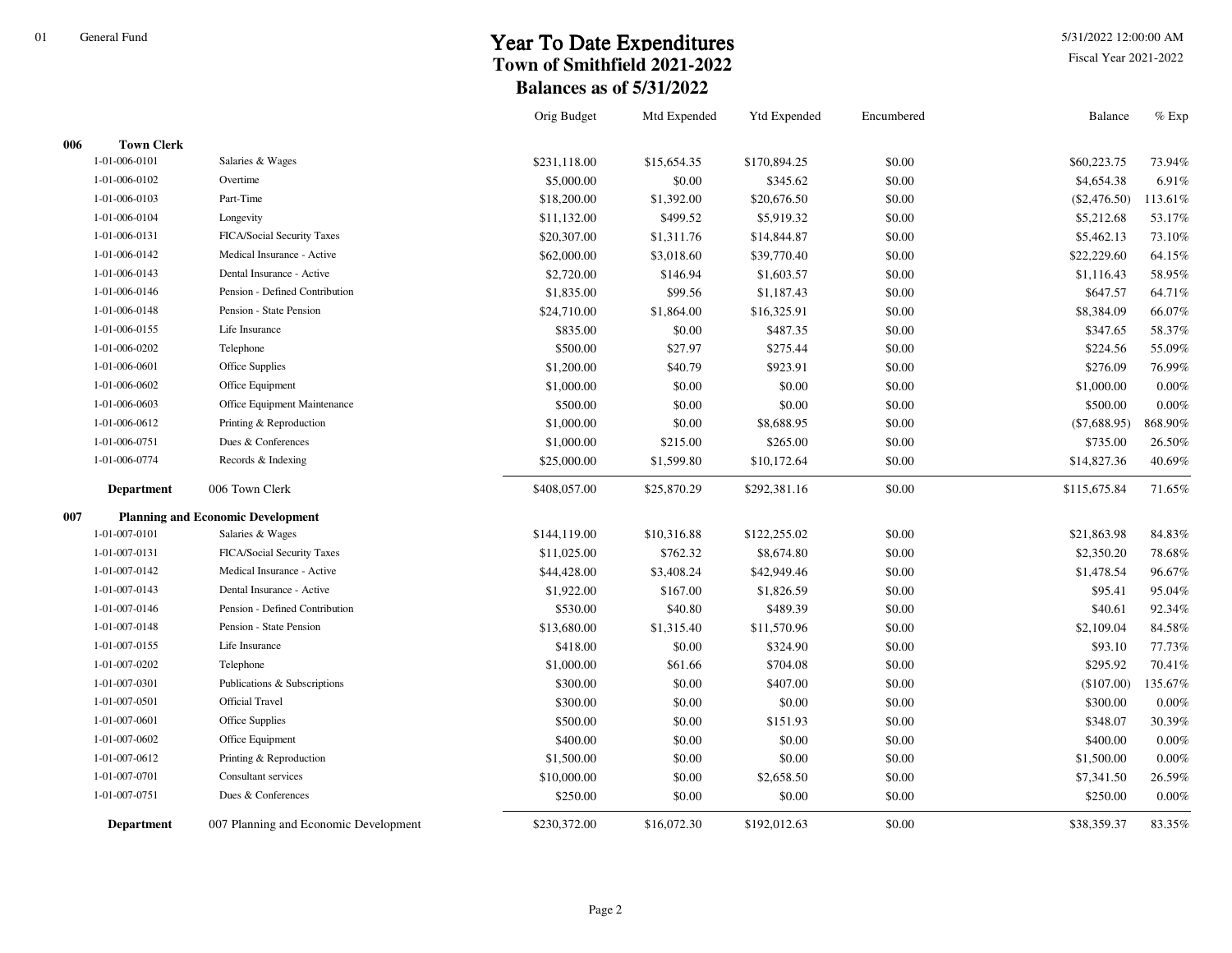5/31/2022 12:00:00 AM

|     |                   |                                          | Orig Budget  | Mtd Expended | <b>Ytd Expended</b> | Encumbered | <b>Balance</b> | $\%$ Exp |
|-----|-------------------|------------------------------------------|--------------|--------------|---------------------|------------|----------------|----------|
| 006 | <b>Town Clerk</b> |                                          |              |              |                     |            |                |          |
|     | 1-01-006-0101     | Salaries & Wages                         | \$231,118.00 | \$15,654.35  | \$170,894.25        | \$0.00     | \$60,223.75    | 73.94%   |
|     | 1-01-006-0102     | Overtime                                 | \$5,000.00   | \$0.00       | \$345.62            | \$0.00     | \$4,654.38     | 6.91%    |
|     | 1-01-006-0103     | Part-Time                                | \$18,200.00  | \$1,392.00   | \$20,676.50         | \$0.00     | $(\$2,476.50)$ | 113.61%  |
|     | 1-01-006-0104     | Longevity                                | \$11,132.00  | \$499.52     | \$5,919.32          | \$0.00     | \$5,212.68     | 53.17%   |
|     | 1-01-006-0131     | FICA/Social Security Taxes               | \$20,307.00  | \$1,311.76   | \$14,844.87         | \$0.00     | \$5,462.13     | 73.10%   |
|     | 1-01-006-0142     | Medical Insurance - Active               | \$62,000.00  | \$3,018.60   | \$39,770.40         | \$0.00     | \$22,229.60    | 64.15%   |
|     | 1-01-006-0143     | Dental Insurance - Active                | \$2,720.00   | \$146.94     | \$1,603.57          | \$0.00     | \$1,116.43     | 58.95%   |
|     | 1-01-006-0146     | Pension - Defined Contribution           | \$1,835.00   | \$99.56      | \$1,187.43          | \$0.00     | \$647.57       | 64.71%   |
|     | 1-01-006-0148     | Pension - State Pension                  | \$24,710.00  | \$1,864.00   | \$16,325.91         | \$0.00     | \$8,384.09     | 66.07%   |
|     | 1-01-006-0155     | Life Insurance                           | \$835.00     | \$0.00       | \$487.35            | \$0.00     | \$347.65       | 58.37%   |
|     | 1-01-006-0202     | Telephone                                | \$500.00     | \$27.97      | \$275.44            | \$0.00     | \$224.56       | 55.09%   |
|     | 1-01-006-0601     | Office Supplies                          | \$1,200.00   | \$40.79      | \$923.91            | \$0.00     | \$276.09       | 76.99%   |
|     | 1-01-006-0602     | Office Equipment                         | \$1,000.00   | \$0.00       | \$0.00              | \$0.00     | \$1,000.00     | 0.00%    |
|     | 1-01-006-0603     | Office Equipment Maintenance             | \$500.00     | \$0.00       | \$0.00              | \$0.00     | \$500.00       | 0.00%    |
|     | 1-01-006-0612     | Printing & Reproduction                  | \$1,000.00   | \$0.00       | \$8,688.95          | \$0.00     | (S7, 688.95)   | 868.90%  |
|     | 1-01-006-0751     | Dues & Conferences                       | \$1,000.00   | \$215.00     | \$265.00            | \$0.00     | \$735.00       | 26.50%   |
|     | 1-01-006-0774     | Records & Indexing                       | \$25,000.00  | \$1,599.80   | \$10,172.64         | \$0.00     | \$14,827.36    | 40.69%   |
|     | <b>Department</b> | 006 Town Clerk                           | \$408,057.00 | \$25,870.29  | \$292,381.16        | \$0.00     | \$115,675.84   | 71.65%   |
| 007 |                   | <b>Planning and Economic Development</b> |              |              |                     |            |                |          |
|     | 1-01-007-0101     | Salaries & Wages                         | \$144,119.00 | \$10,316.88  | \$122,255.02        | \$0.00     | \$21,863.98    | 84.83%   |
|     | 1-01-007-0131     | FICA/Social Security Taxes               | \$11,025.00  | \$762.32     | \$8,674.80          | \$0.00     | \$2,350.20     | 78.68%   |
|     | 1-01-007-0142     | Medical Insurance - Active               | \$44,428.00  | \$3,408.24   | \$42,949.46         | \$0.00     | \$1,478.54     | 96.67%   |
|     | 1-01-007-0143     | Dental Insurance - Active                | \$1,922.00   | \$167.00     | \$1,826.59          | \$0.00     | \$95.41        | 95.04%   |
|     | 1-01-007-0146     | Pension - Defined Contribution           | \$530.00     | \$40.80      | \$489.39            | \$0.00     | \$40.61        | 92.34%   |
|     | 1-01-007-0148     | Pension - State Pension                  | \$13,680.00  | \$1,315.40   | \$11,570.96         | \$0.00     | \$2,109.04     | 84.58%   |
|     | 1-01-007-0155     | Life Insurance                           | \$418.00     | \$0.00       | \$324.90            | \$0.00     | \$93.10        | 77.73%   |
|     | 1-01-007-0202     | Telephone                                | \$1,000.00   | \$61.66      | \$704.08            | \$0.00     | \$295.92       | 70.41%   |
|     | 1-01-007-0301     | Publications & Subscriptions             | \$300.00     | \$0.00       | \$407.00            | \$0.00     | (\$107.00)     | 135.67%  |
|     | 1-01-007-0501     | <b>Official Travel</b>                   | \$300.00     | \$0.00       | \$0.00              | \$0.00     | \$300.00       | 0.00%    |
|     | 1-01-007-0601     | Office Supplies                          | \$500.00     | \$0.00       | \$151.93            | \$0.00     | \$348.07       | 30.39%   |
|     | 1-01-007-0602     | Office Equipment                         | \$400.00     | \$0.00       | \$0.00              | \$0.00     | \$400.00       | 0.00%    |
|     | 1-01-007-0612     | Printing & Reproduction                  | \$1,500.00   | \$0.00       | \$0.00              | \$0.00     | \$1,500.00     | 0.00%    |
|     | 1-01-007-0701     | Consultant services                      | \$10,000.00  | \$0.00       | \$2,658.50          | \$0.00     | \$7,341.50     | 26.59%   |
|     | 1-01-007-0751     | Dues & Conferences                       | \$250.00     | \$0.00       | \$0.00              | \$0.00     | \$250.00       | 0.00%    |
|     | <b>Department</b> | 007 Planning and Economic Development    | \$230,372.00 | \$16,072.30  | \$192,012.63        | \$0.00     | \$38,359.37    | 83.35%   |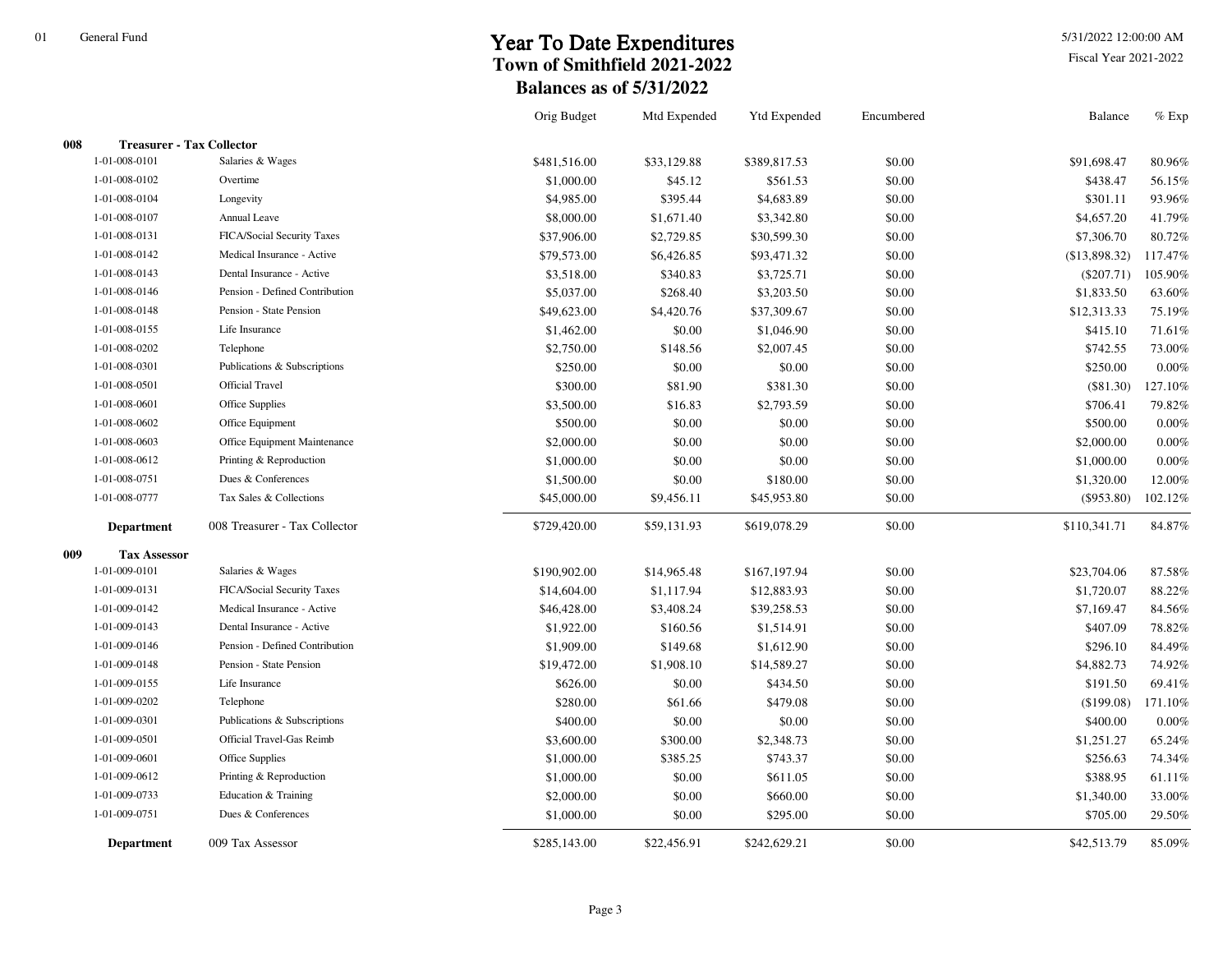5/31/2022 12:00:00 AM

|     |                                  |                                | Orig Budget  | Mtd Expended | <b>Ytd Expended</b> | Encumbered | Balance       | $%$ Exp |
|-----|----------------------------------|--------------------------------|--------------|--------------|---------------------|------------|---------------|---------|
| 008 | <b>Treasurer - Tax Collector</b> |                                |              |              |                     |            |               |         |
|     | 1-01-008-0101                    | Salaries & Wages               | \$481,516.00 | \$33,129.88  | \$389,817.53        | \$0.00     | \$91,698.47   | 80.96%  |
|     | 1-01-008-0102                    | Overtime                       | \$1,000.00   | \$45.12      | \$561.53            | \$0.00     | \$438.47      | 56.15%  |
|     | 1-01-008-0104                    | Longevity                      | \$4,985.00   | \$395.44     | \$4,683.89          | \$0.00     | \$301.11      | 93.96%  |
|     | 1-01-008-0107                    | Annual Leave                   | \$8,000.00   | \$1,671.40   | \$3,342.80          | \$0.00     | \$4,657.20    | 41.79%  |
|     | 1-01-008-0131                    | FICA/Social Security Taxes     | \$37,906.00  | \$2,729.85   | \$30,599.30         | \$0.00     | \$7,306.70    | 80.72%  |
|     | 1-01-008-0142                    | Medical Insurance - Active     | \$79,573.00  | \$6,426.85   | \$93,471.32         | \$0.00     | (\$13,898.32) | 117.47% |
|     | 1-01-008-0143                    | Dental Insurance - Active      | \$3,518.00   | \$340.83     | \$3,725.71          | \$0.00     | $(\$207.71)$  | 105.90% |
|     | 1-01-008-0146                    | Pension - Defined Contribution | \$5,037.00   | \$268.40     | \$3,203.50          | \$0.00     | \$1,833.50    | 63.60%  |
|     | 1-01-008-0148                    | Pension - State Pension        | \$49,623.00  | \$4,420.76   | \$37,309.67         | \$0.00     | \$12,313.33   | 75.19%  |
|     | 1-01-008-0155                    | Life Insurance                 | \$1,462.00   | \$0.00       | \$1,046.90          | \$0.00     | \$415.10      | 71.61%  |
|     | 1-01-008-0202                    | Telephone                      | \$2,750.00   | \$148.56     | \$2,007.45          | \$0.00     | \$742.55      | 73.00%  |
|     | 1-01-008-0301                    | Publications & Subscriptions   | \$250.00     | \$0.00       | \$0.00              | \$0.00     | \$250.00      | 0.00%   |
|     | 1-01-008-0501                    | <b>Official Travel</b>         | \$300.00     | \$81.90      | \$381.30            | \$0.00     | (\$81.30)     | 127.10% |
|     | 1-01-008-0601                    | Office Supplies                | \$3,500.00   | \$16.83      | \$2,793.59          | \$0.00     | \$706.41      | 79.82%  |
|     | 1-01-008-0602                    | Office Equipment               | \$500.00     | \$0.00       | \$0.00              | \$0.00     | \$500.00      | 0.00%   |
|     | 1-01-008-0603                    | Office Equipment Maintenance   | \$2,000.00   | \$0.00       | \$0.00              | \$0.00     | \$2,000.00    | 0.00%   |
|     | 1-01-008-0612                    | Printing & Reproduction        | \$1,000.00   | \$0.00       | \$0.00              | \$0.00     | \$1,000.00    | 0.00%   |
|     | 1-01-008-0751                    | Dues & Conferences             | \$1,500.00   | \$0.00       | \$180.00            | \$0.00     | \$1,320.00    | 12.00%  |
|     | 1-01-008-0777                    | Tax Sales & Collections        | \$45,000.00  | \$9,456.11   | \$45,953.80         | \$0.00     | $($ \$953.80) | 102.12% |
|     | <b>Department</b>                | 008 Treasurer - Tax Collector  | \$729,420.00 | \$59,131.93  | \$619,078.29        | \$0.00     | \$110,341.71  | 84.87%  |
| 009 | <b>Tax Assessor</b>              |                                |              |              |                     |            |               |         |
|     | 1-01-009-0101                    | Salaries & Wages               | \$190,902.00 | \$14,965.48  | \$167,197.94        | \$0.00     | \$23,704.06   | 87.58%  |
|     | 1-01-009-0131                    | FICA/Social Security Taxes     | \$14,604.00  | \$1,117.94   | \$12,883.93         | \$0.00     | \$1,720.07    | 88.22%  |
|     | 1-01-009-0142                    | Medical Insurance - Active     | \$46,428.00  | \$3,408.24   | \$39,258.53         | \$0.00     | \$7,169.47    | 84.56%  |
|     | 1-01-009-0143                    | Dental Insurance - Active      | \$1,922.00   | \$160.56     | \$1,514.91          | \$0.00     | \$407.09      | 78.82%  |
|     | 1-01-009-0146                    | Pension - Defined Contribution | \$1,909.00   | \$149.68     | \$1,612.90          | \$0.00     | \$296.10      | 84.49%  |
|     | 1-01-009-0148                    | Pension - State Pension        | \$19,472.00  | \$1,908.10   | \$14,589.27         | \$0.00     | \$4,882.73    | 74.92%  |
|     | 1-01-009-0155                    | Life Insurance                 | \$626.00     | \$0.00       | \$434.50            | \$0.00     | \$191.50      | 69.41%  |
|     | 1-01-009-0202                    | Telephone                      | \$280.00     | \$61.66      | \$479.08            | \$0.00     | (\$199.08)    | 171.10% |
|     | 1-01-009-0301                    | Publications & Subscriptions   | \$400.00     | \$0.00       | \$0.00              | \$0.00     | \$400.00      | 0.00%   |
|     | 1-01-009-0501                    | Official Travel-Gas Reimb      | \$3,600.00   | \$300.00     | \$2,348.73          | \$0.00     | \$1,251.27    | 65.24%  |
|     | 1-01-009-0601                    | Office Supplies                | \$1,000.00   | \$385.25     | \$743.37            | \$0.00     | \$256.63      | 74.34%  |
|     | 1-01-009-0612                    | Printing & Reproduction        | \$1,000.00   | \$0.00       | \$611.05            | \$0.00     | \$388.95      | 61.11%  |
|     | 1-01-009-0733                    | Education & Training           | \$2,000.00   | \$0.00       | \$660.00            | \$0.00     | \$1,340.00    | 33.00%  |
|     | 1-01-009-0751                    | Dues & Conferences             | \$1,000.00   | \$0.00       | \$295.00            | \$0.00     | \$705.00      | 29.50%  |
|     | <b>Department</b>                | 009 Tax Assessor               | \$285,143.00 | \$22,456.91  | \$242,629.21        | \$0.00     | \$42,513.79   | 85.09%  |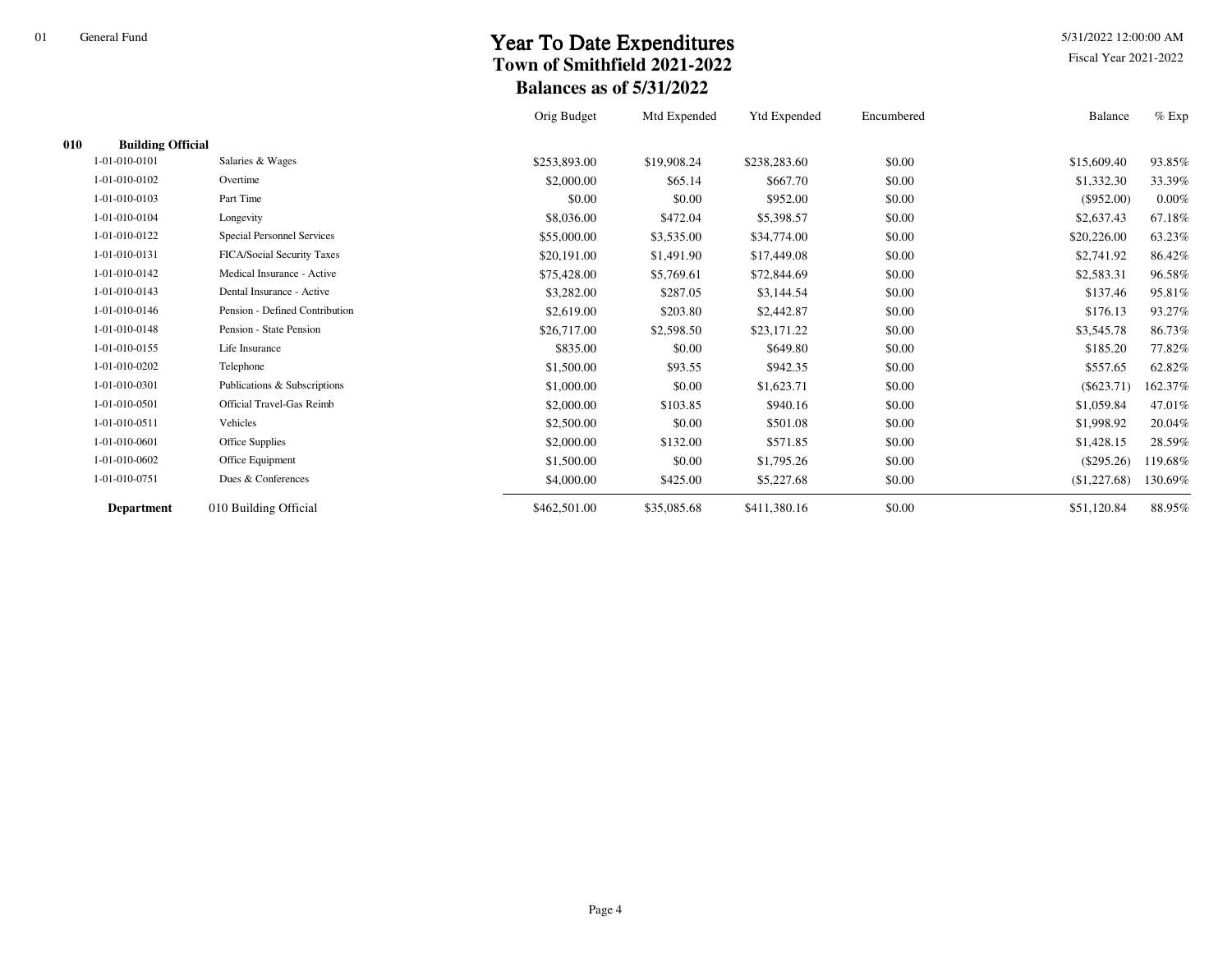5/31/2022 12:00:00 AM

|     |                          |                                   | Orig Budget  | Mtd Expended | <b>Ytd Expended</b> | Encumbered | Balance      | $%$ Exp |
|-----|--------------------------|-----------------------------------|--------------|--------------|---------------------|------------|--------------|---------|
| 010 | <b>Building Official</b> |                                   |              |              |                     |            |              |         |
|     | 1-01-010-0101            | Salaries & Wages                  | \$253,893.00 | \$19,908.24  | \$238,283.60        | \$0.00     | \$15,609.40  | 93.85%  |
|     | 1-01-010-0102            | Overtime                          | \$2,000.00   | \$65.14      | \$667.70            | \$0.00     | \$1,332.30   | 33.39%  |
|     | 1-01-010-0103            | Part Time                         | \$0.00       | \$0.00       | \$952.00            | \$0.00     | $(\$952.00)$ | 0.00%   |
|     | 1-01-010-0104            | Longevity                         | \$8,036.00   | \$472.04     | \$5,398.57          | \$0.00     | \$2,637.43   | 67.18%  |
|     | 1-01-010-0122            | <b>Special Personnel Services</b> | \$55,000.00  | \$3,535.00   | \$34,774.00         | \$0.00     | \$20,226.00  | 63.23%  |
|     | 1-01-010-0131            | FICA/Social Security Taxes        | \$20,191.00  | \$1,491.90   | \$17,449.08         | \$0.00     | \$2,741.92   | 86.42%  |
|     | 1-01-010-0142            | Medical Insurance - Active        | \$75,428.00  | \$5,769.61   | \$72,844.69         | \$0.00     | \$2,583.31   | 96.58%  |
|     | 1-01-010-0143            | Dental Insurance - Active         | \$3,282.00   | \$287.05     | \$3,144.54          | \$0.00     | \$137.46     | 95.81%  |
|     | 1-01-010-0146            | Pension - Defined Contribution    | \$2,619.00   | \$203.80     | \$2,442.87          | \$0.00     | \$176.13     | 93.27%  |
|     | 1-01-010-0148            | Pension - State Pension           | \$26,717.00  | \$2,598.50   | \$23,171.22         | \$0.00     | \$3,545.78   | 86.73%  |
|     | 1-01-010-0155            | Life Insurance                    | \$835.00     | \$0.00       | \$649.80            | \$0.00     | \$185.20     | 77.82%  |
|     | 1-01-010-0202            | Telephone                         | \$1,500.00   | \$93.55      | \$942.35            | \$0.00     | \$557.65     | 62.82%  |
|     | 1-01-010-0301            | Publications & Subscriptions      | \$1,000.00   | \$0.00       | \$1,623.71          | \$0.00     | $(\$623.71)$ | 162.37% |
|     | 1-01-010-0501            | <b>Official Travel-Gas Reimb</b>  | \$2,000.00   | \$103.85     | \$940.16            | \$0.00     | \$1,059.84   | 47.01%  |
|     | 1-01-010-0511            | Vehicles                          | \$2,500.00   | \$0.00       | \$501.08            | \$0.00     | \$1,998.92   | 20.04%  |
|     | 1-01-010-0601            | Office Supplies                   | \$2,000.00   | \$132.00     | \$571.85            | \$0.00     | \$1,428.15   | 28.59%  |
|     | 1-01-010-0602            | Office Equipment                  | \$1,500.00   | \$0.00       | \$1,795.26          | \$0.00     | $(\$295.26)$ | 119.68% |
|     | 1-01-010-0751            | Dues & Conferences                | \$4,000.00   | \$425.00     | \$5,227.68          | \$0.00     | (\$1,227.68) | 130.69% |
|     | <b>Department</b>        | 010 Building Official             | \$462,501.00 | \$35,085.68  | \$411,380.16        | \$0.00     | \$51,120.84  | 88.95%  |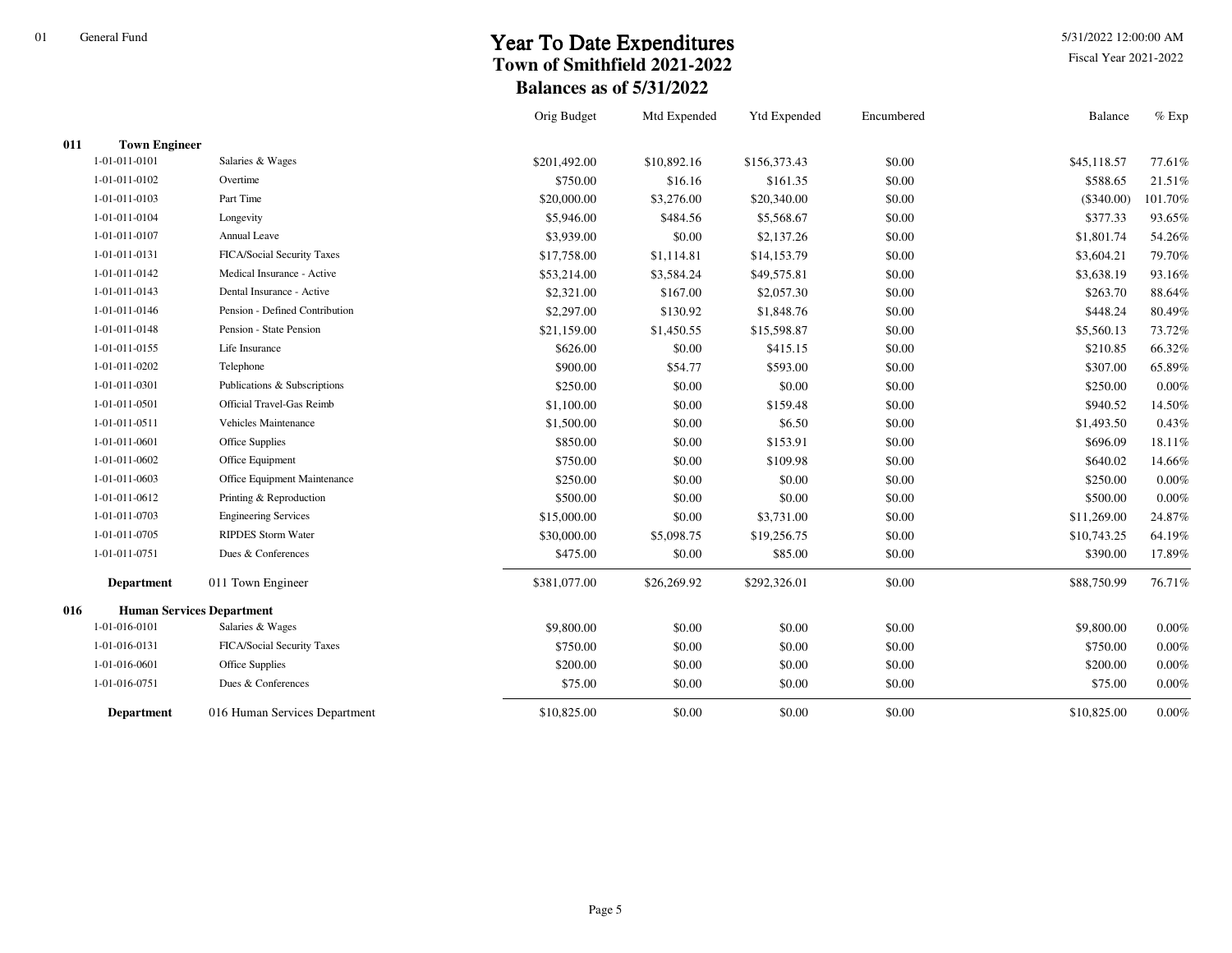5/31/2022 12:00:00 AM

|     |                      |                                  | Orig Budget  | Mtd Expended | <b>Ytd Expended</b> | Encumbered | Balance      | $\%$ Exp |
|-----|----------------------|----------------------------------|--------------|--------------|---------------------|------------|--------------|----------|
| 011 | <b>Town Engineer</b> |                                  |              |              |                     |            |              |          |
|     | 1-01-011-0101        | Salaries & Wages                 | \$201,492.00 | \$10,892.16  | \$156,373.43        | \$0.00     | \$45,118.57  | 77.61%   |
|     | 1-01-011-0102        | Overtime                         | \$750.00     | \$16.16      | \$161.35            | \$0.00     | \$588.65     | 21.51%   |
|     | 1-01-011-0103        | Part Time                        | \$20,000.00  | \$3,276.00   | \$20,340.00         | \$0.00     | $(\$340.00)$ | 101.70%  |
|     | 1-01-011-0104        | Longevity                        | \$5,946.00   | \$484.56     | \$5,568.67          | \$0.00     | \$377.33     | 93.65%   |
|     | 1-01-011-0107        | <b>Annual Leave</b>              | \$3,939.00   | \$0.00       | \$2,137.26          | \$0.00     | \$1,801.74   | 54.26%   |
|     | 1-01-011-0131        | FICA/Social Security Taxes       | \$17,758.00  | \$1,114.81   | \$14,153.79         | \$0.00     | \$3,604.21   | 79.70%   |
|     | 1-01-011-0142        | Medical Insurance - Active       | \$53,214.00  | \$3,584.24   | \$49,575.81         | \$0.00     | \$3,638.19   | 93.16%   |
|     | 1-01-011-0143        | Dental Insurance - Active        | \$2,321.00   | \$167.00     | \$2,057.30          | \$0.00     | \$263.70     | 88.64%   |
|     | 1-01-011-0146        | Pension - Defined Contribution   | \$2,297.00   | \$130.92     | \$1,848.76          | \$0.00     | \$448.24     | 80.49%   |
|     | 1-01-011-0148        | Pension - State Pension          | \$21,159.00  | \$1,450.55   | \$15,598.87         | \$0.00     | \$5,560.13   | 73.72%   |
|     | 1-01-011-0155        | Life Insurance                   | \$626.00     | \$0.00       | \$415.15            | \$0.00     | \$210.85     | 66.32%   |
|     | 1-01-011-0202        | Telephone                        | \$900.00     | \$54.77      | \$593.00            | \$0.00     | \$307.00     | 65.89%   |
|     | 1-01-011-0301        | Publications & Subscriptions     | \$250.00     | \$0.00       | \$0.00              | \$0.00     | \$250.00     | 0.00%    |
|     | 1-01-011-0501        | Official Travel-Gas Reimb        | \$1,100.00   | \$0.00       | \$159.48            | \$0.00     | \$940.52     | 14.50%   |
|     | 1-01-011-0511        | Vehicles Maintenance             | \$1,500.00   | \$0.00       | \$6.50              | \$0.00     | \$1,493.50   | 0.43%    |
|     | 1-01-011-0601        | Office Supplies                  | \$850.00     | \$0.00       | \$153.91            | \$0.00     | \$696.09     | 18.11%   |
|     | 1-01-011-0602        | Office Equipment                 | \$750.00     | \$0.00       | \$109.98            | \$0.00     | \$640.02     | 14.66%   |
|     | 1-01-011-0603        | Office Equipment Maintenance     | \$250.00     | \$0.00       | \$0.00              | \$0.00     | \$250.00     | 0.00%    |
|     | 1-01-011-0612        | Printing & Reproduction          | \$500.00     | \$0.00       | \$0.00              | \$0.00     | \$500.00     | 0.00%    |
|     | 1-01-011-0703        | <b>Engineering Services</b>      | \$15,000.00  | \$0.00       | \$3,731.00          | \$0.00     | \$11,269.00  | 24.87%   |
|     | 1-01-011-0705        | <b>RIPDES Storm Water</b>        | \$30,000.00  | \$5,098.75   | \$19,256.75         | \$0.00     | \$10,743.25  | 64.19%   |
|     | 1-01-011-0751        | Dues & Conferences               | \$475.00     | \$0.00       | \$85.00             | \$0.00     | \$390.00     | 17.89%   |
|     | <b>Department</b>    | 011 Town Engineer                | \$381,077.00 | \$26,269.92  | \$292,326.01        | \$0.00     | \$88,750.99  | 76.71%   |
| 016 |                      | <b>Human Services Department</b> |              |              |                     |            |              |          |
|     | 1-01-016-0101        | Salaries & Wages                 | \$9,800.00   | \$0.00       | \$0.00              | \$0.00     | \$9,800.00   | 0.00%    |
|     | 1-01-016-0131        | FICA/Social Security Taxes       | \$750.00     | \$0.00       | \$0.00              | \$0.00     | \$750.00     | 0.00%    |
|     | 1-01-016-0601        | Office Supplies                  | \$200.00     | \$0.00       | \$0.00              | \$0.00     | \$200.00     | 0.00%    |
|     | 1-01-016-0751        | Dues & Conferences               | \$75.00      | \$0.00       | \$0.00              | \$0.00     | \$75.00      | 0.00%    |
|     | <b>Department</b>    | 016 Human Services Department    | \$10,825.00  | \$0.00       | \$0.00              | \$0.00     | \$10,825.00  | 0.00%    |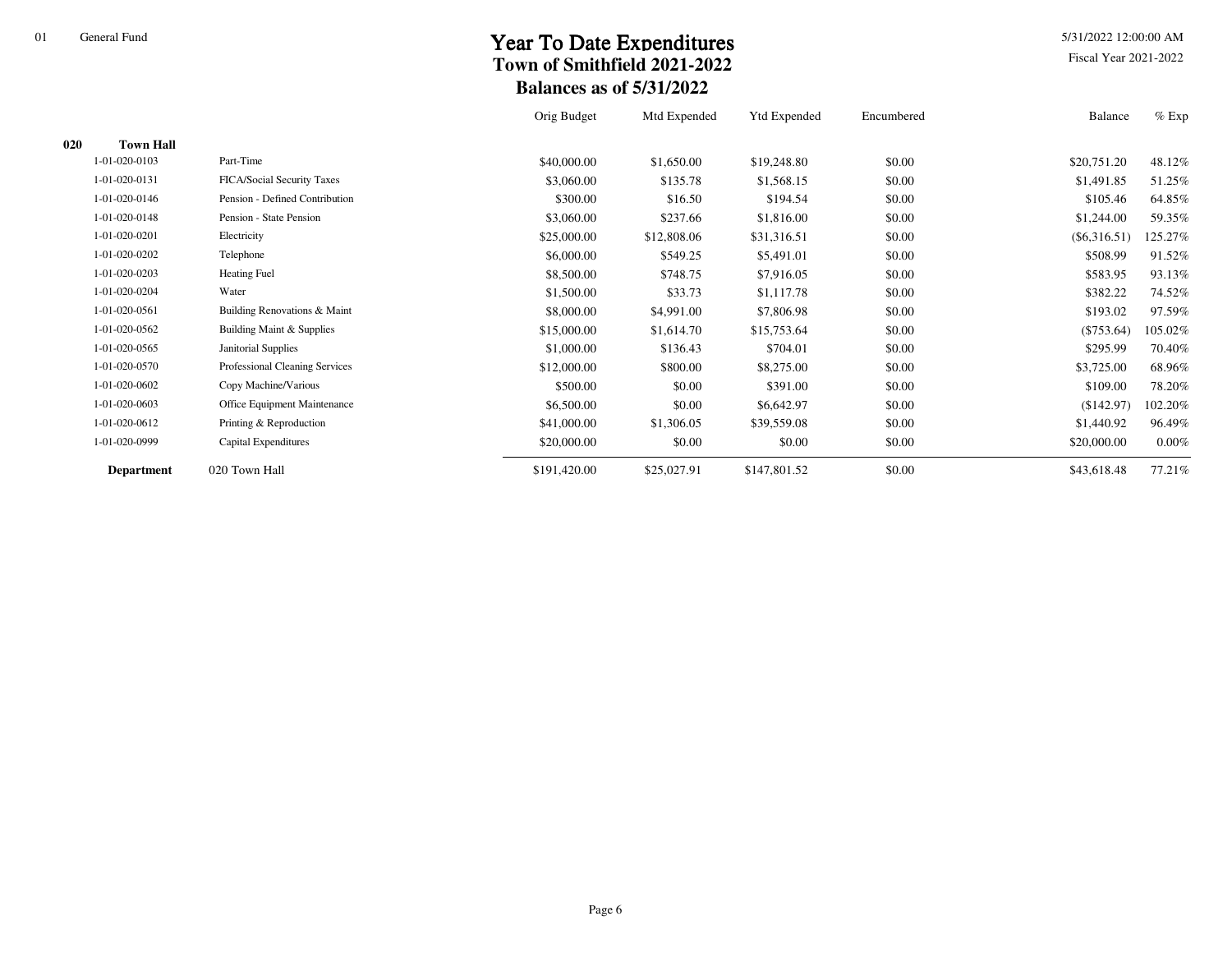5/31/2022 12:00:00 AM

 $\frac{2}{2}$  Fiscal Year 2021-2022

|     |                   |                                | Orig Budget  | Mtd Expended | <b>Ytd Expended</b> | Encumbered | Balance        | $%$ Exp |
|-----|-------------------|--------------------------------|--------------|--------------|---------------------|------------|----------------|---------|
| 020 | <b>Town Hall</b>  |                                |              |              |                     |            |                |         |
|     | 1-01-020-0103     | Part-Time                      | \$40,000.00  | \$1,650.00   | \$19,248.80         | \$0.00     | \$20,751.20    | 48.12%  |
|     | 1-01-020-0131     | FICA/Social Security Taxes     | \$3,060.00   | \$135.78     | \$1,568.15          | \$0.00     | \$1,491.85     | 51.25%  |
|     | 1-01-020-0146     | Pension - Defined Contribution | \$300.00     | \$16.50      | \$194.54            | \$0.00     | \$105.46       | 64.85%  |
|     | 1-01-020-0148     | Pension - State Pension        | \$3,060.00   | \$237.66     | \$1,816.00          | \$0.00     | \$1,244.00     | 59.35%  |
|     | 1-01-020-0201     | Electricity                    | \$25,000.00  | \$12,808.06  | \$31,316.51         | \$0.00     | $(\$6,316.51)$ | 125.27% |
|     | 1-01-020-0202     | Telephone                      | \$6,000.00   | \$549.25     | \$5,491.01          | \$0.00     | \$508.99       | 91.52%  |
|     | 1-01-020-0203     | <b>Heating Fuel</b>            | \$8,500.00   | \$748.75     | \$7,916.05          | \$0.00     | \$583.95       | 93.13%  |
|     | 1-01-020-0204     | Water                          | \$1,500.00   | \$33.73      | \$1,117.78          | \$0.00     | \$382.22       | 74.52%  |
|     | 1-01-020-0561     | Building Renovations & Maint   | \$8,000.00   | \$4,991.00   | \$7,806.98          | \$0.00     | \$193.02       | 97.59%  |
|     | 1-01-020-0562     | Building Maint & Supplies      | \$15,000.00  | \$1,614.70   | \$15,753.64         | \$0.00     | $(\$753.64)$   | 105.02% |
|     | 1-01-020-0565     | <b>Janitorial Supplies</b>     | \$1,000.00   | \$136.43     | \$704.01            | \$0.00     | \$295.99       | 70.40%  |
|     | 1-01-020-0570     | Professional Cleaning Services | \$12,000.00  | \$800.00     | \$8,275.00          | \$0.00     | \$3,725.00     | 68.96%  |
|     | 1-01-020-0602     | Copy Machine/Various           | \$500.00     | \$0.00       | \$391.00            | \$0.00     | \$109.00       | 78.20%  |
|     | 1-01-020-0603     | Office Equipment Maintenance   | \$6,500.00   | \$0.00       | \$6,642.97          | \$0.00     | (\$142.97)     | 102.20% |
|     | 1-01-020-0612     | Printing & Reproduction        | \$41,000.00  | \$1,306.05   | \$39,559.08         | \$0.00     | \$1,440.92     | 96.49%  |
|     | 1-01-020-0999     | Capital Expenditures           | \$20,000.00  | \$0.00       | \$0.00              | \$0.00     | \$20,000.00    | 0.00%   |
|     | <b>Department</b> | 020 Town Hall                  | \$191,420.00 | \$25,027.91  | \$147,801.52        | \$0.00     | \$43,618.48    | 77.21%  |

Page 6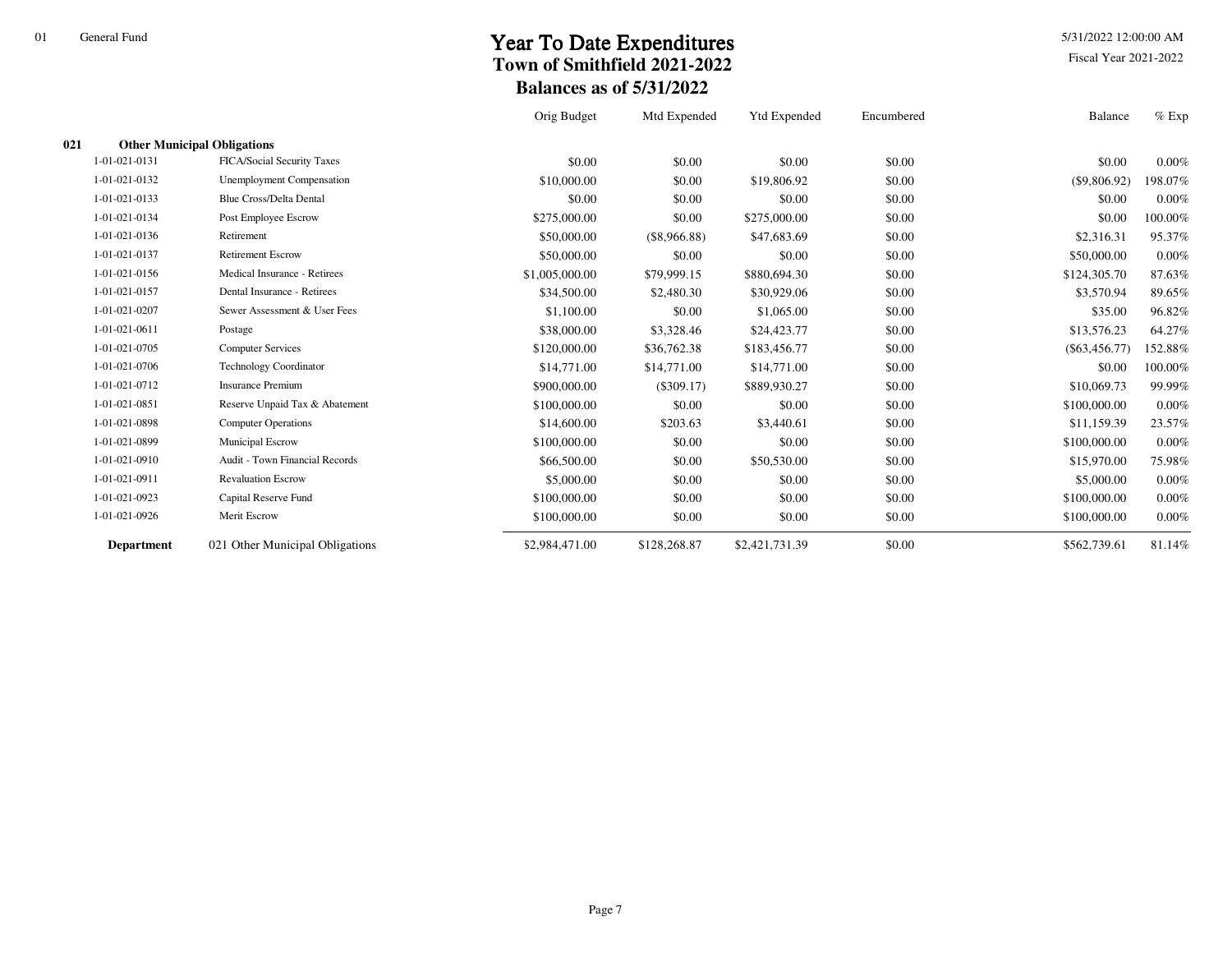5/31/2022 12:00:00 AM

|     |                   |                                    | Orig Budget    | Mtd Expended    | <b>Ytd Expended</b> | Encumbered | Balance         | $%$ Exp |
|-----|-------------------|------------------------------------|----------------|-----------------|---------------------|------------|-----------------|---------|
| 021 |                   | <b>Other Municipal Obligations</b> |                |                 |                     |            |                 |         |
|     | 1-01-021-0131     | FICA/Social Security Taxes         | \$0.00         | \$0.00          | \$0.00              | \$0.00     | \$0.00          | 0.00%   |
|     | 1-01-021-0132     | <b>Unemployment Compensation</b>   | \$10,000.00    | \$0.00          | \$19,806.92         | \$0.00     | $(\$9,806.92)$  | 198.07% |
|     | 1-01-021-0133     | <b>Blue Cross/Delta Dental</b>     | \$0.00         | \$0.00          | \$0.00              | \$0.00     | \$0.00          | 0.00%   |
|     | 1-01-021-0134     | Post Employee Escrow               | \$275,000.00   | \$0.00          | \$275,000.00        | \$0.00     | \$0.00          | 100.00% |
|     | 1-01-021-0136     | Retirement                         | \$50,000.00    | $($ \$8,966.88) | \$47,683.69         | \$0.00     | \$2,316.31      | 95.37%  |
|     | 1-01-021-0137     | <b>Retirement Escrow</b>           | \$50,000.00    | \$0.00          | \$0.00              | \$0.00     | \$50,000.00     | 0.00%   |
|     | 1-01-021-0156     | Medical Insurance - Retirees       | \$1,005,000.00 | \$79,999.15     | \$880,694.30        | \$0.00     | \$124,305.70    | 87.63%  |
|     | 1-01-021-0157     | Dental Insurance - Retirees        | \$34,500.00    | \$2,480.30      | \$30,929.06         | \$0.00     | \$3,570.94      | 89.65%  |
|     | 1-01-021-0207     | Sewer Assessment & User Fees       | \$1,100.00     | \$0.00          | \$1,065.00          | \$0.00     | \$35.00         | 96.82%  |
|     | 1-01-021-0611     | Postage                            | \$38,000.00    | \$3,328.46      | \$24,423.77         | \$0.00     | \$13,576.23     | 64.27%  |
|     | 1-01-021-0705     | <b>Computer Services</b>           | \$120,000.00   | \$36,762.38     | \$183,456.77        | \$0.00     | $(\$63,456.77)$ | 152.88% |
|     | 1-01-021-0706     | <b>Technology Coordinator</b>      | \$14,771.00    | \$14,771.00     | \$14,771.00         | \$0.00     | \$0.00          | 100.00% |
|     | 1-01-021-0712     | <b>Insurance Premium</b>           | \$900,000.00   | $(\$309.17)$    | \$889,930.27        | \$0.00     | \$10,069.73     | 99.99%  |
|     | 1-01-021-0851     | Reserve Unpaid Tax & Abatement     | \$100,000.00   | \$0.00          | \$0.00              | \$0.00     | \$100,000.00    | 0.00%   |
|     | 1-01-021-0898     | <b>Computer Operations</b>         | \$14,600.00    | \$203.63        | \$3,440.61          | \$0.00     | \$11,159.39     | 23.57%  |
|     | 1-01-021-0899     | Municipal Escrow                   | \$100,000.00   | \$0.00          | \$0.00              | \$0.00     | \$100,000.00    | 0.00%   |
|     | 1-01-021-0910     | Audit - Town Financial Records     | \$66,500.00    | \$0.00          | \$50,530.00         | \$0.00     | \$15,970.00     | 75.98%  |
|     | 1-01-021-0911     | <b>Revaluation Escrow</b>          | \$5,000.00     | \$0.00          | \$0.00              | \$0.00     | \$5,000.00      | 0.00%   |
|     | 1-01-021-0923     | Capital Reserve Fund               | \$100,000.00   | \$0.00          | \$0.00              | \$0.00     | \$100,000.00    | 0.00%   |
|     | 1-01-021-0926     | Merit Escrow                       | \$100,000.00   | \$0.00          | \$0.00              | \$0.00     | \$100,000.00    | 0.00%   |
|     | <b>Department</b> | 021 Other Municipal Obligations    | \$2,984,471.00 | \$128,268.87    | \$2,421,731.39      | \$0.00     | \$562,739.61    | 81.14%  |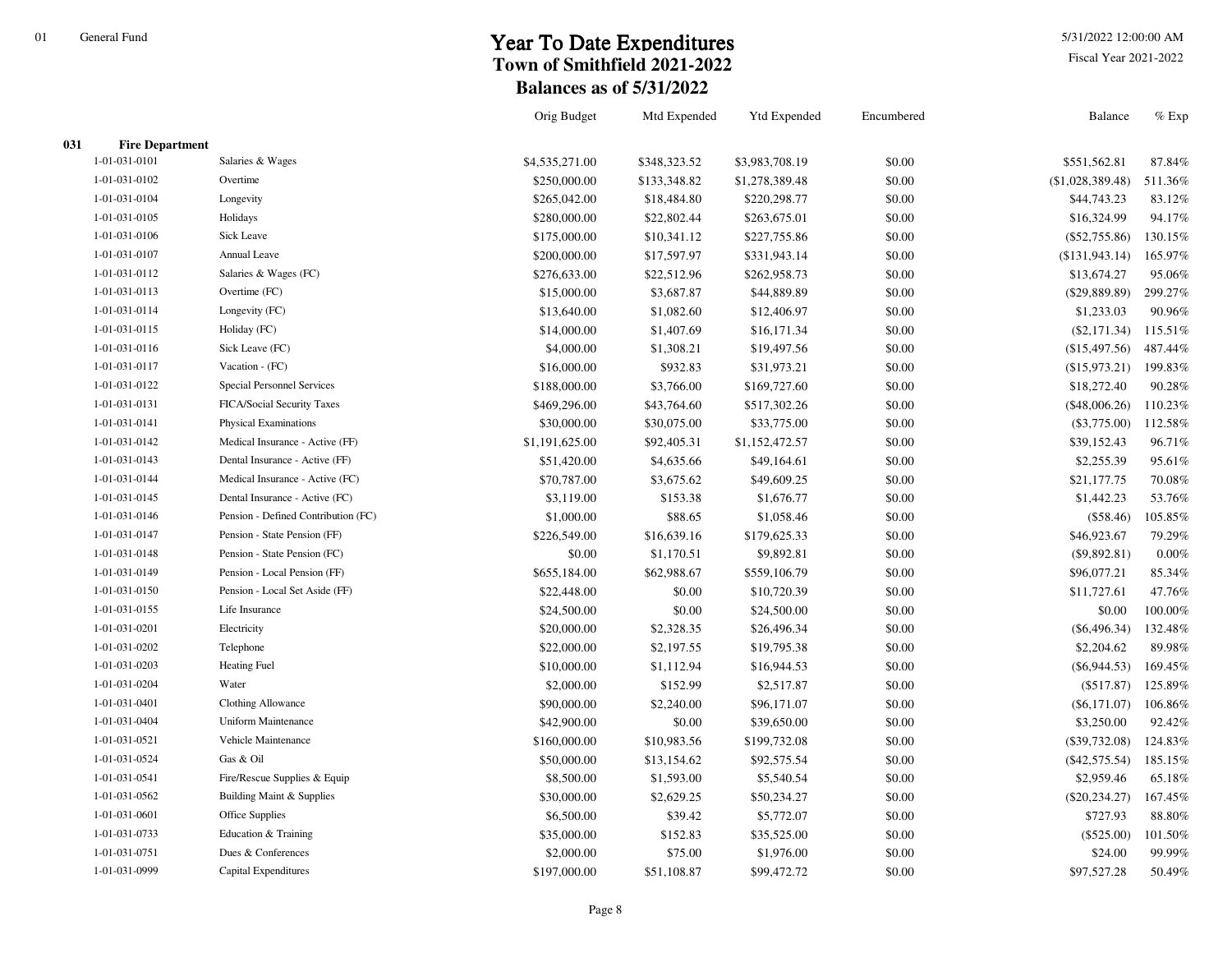5/31/2022 12:00:00 AM

|     |                        |                                     | Orig Budget    | Mtd Expended | <b>Ytd Expended</b> | Encumbered | Balance          | $%$ Exp |
|-----|------------------------|-------------------------------------|----------------|--------------|---------------------|------------|------------------|---------|
| 031 | <b>Fire Department</b> |                                     |                |              |                     |            |                  |         |
|     | 1-01-031-0101          | Salaries & Wages                    | \$4,535,271.00 | \$348,323.52 | \$3,983,708.19      | \$0.00     | \$551,562.81     | 87.84%  |
|     | 1-01-031-0102          | Overtime                            | \$250,000.00   | \$133,348.82 | \$1,278,389.48      | \$0.00     | (\$1,028,389.48) | 511.36% |
|     | 1-01-031-0104          | Longevity                           | \$265,042.00   | \$18,484.80  | \$220,298.77        | \$0.00     | \$44,743.23      | 83.12%  |
|     | 1-01-031-0105          | Holidays                            | \$280,000.00   | \$22,802.44  | \$263,675.01        | \$0.00     | \$16,324.99      | 94.17%  |
|     | 1-01-031-0106          | Sick Leave                          | \$175,000.00   | \$10,341.12  | \$227,755.86        | \$0.00     | $(\$52,755.86)$  | 130.15% |
|     | 1-01-031-0107          | Annual Leave                        | \$200,000.00   | \$17,597.97  | \$331,943.14        | \$0.00     | (\$131, 943.14)  | 165.97% |
|     | 1-01-031-0112          | Salaries & Wages (FC)               | \$276,633.00   | \$22,512.96  | \$262,958.73        | \$0.00     | \$13,674.27      | 95.06%  |
|     | 1-01-031-0113          | Overtime (FC)                       | \$15,000.00    | \$3,687.87   | \$44,889.89         | \$0.00     | $(\$29,889.89)$  | 299.27% |
|     | 1-01-031-0114          | Longevity (FC)                      | \$13,640.00    | \$1,082.60   | \$12,406.97         | \$0.00     | \$1,233.03       | 90.96%  |
|     | 1-01-031-0115          | Holiday (FC)                        | \$14,000.00    | \$1,407.69   | \$16,171.34         | \$0.00     | $(\$2,171.34)$   | 115.51% |
|     | 1-01-031-0116          | Sick Leave (FC)                     | \$4,000.00     | \$1,308.21   | \$19,497.56         | \$0.00     | (\$15,497.56)    | 487.44% |
|     | 1-01-031-0117          | Vacation - (FC)                     | \$16,000.00    | \$932.83     | \$31,973.21         | \$0.00     | (\$15,973.21)    | 199.83% |
|     | 1-01-031-0122          | <b>Special Personnel Services</b>   | \$188,000.00   | \$3,766.00   | \$169,727.60        | \$0.00     | \$18,272.40      | 90.28%  |
|     | 1-01-031-0131          | FICA/Social Security Taxes          | \$469,296.00   | \$43,764.60  | \$517,302.26        | \$0.00     | (\$48,006.26)    | 110.23% |
|     | 1-01-031-0141          | <b>Physical Examinations</b>        | \$30,000.00    | \$30,075.00  | \$33,775.00         | \$0.00     | $(\$3,775.00)$   | 112.58% |
|     | 1-01-031-0142          | Medical Insurance - Active (FF)     | \$1,191,625.00 | \$92,405.31  | \$1,152,472.57      | \$0.00     | \$39,152.43      | 96.71%  |
|     | 1-01-031-0143          | Dental Insurance - Active (FF)      | \$51,420.00    | \$4,635.66   | \$49,164.61         | \$0.00     | \$2,255.39       | 95.61%  |
|     | 1-01-031-0144          | Medical Insurance - Active (FC)     | \$70,787.00    | \$3,675.62   | \$49,609.25         | \$0.00     | \$21,177.75      | 70.08%  |
|     | 1-01-031-0145          | Dental Insurance - Active (FC)      | \$3,119.00     | \$153.38     | \$1,676.77          | \$0.00     | \$1,442.23       | 53.76%  |
|     | 1-01-031-0146          | Pension - Defined Contribution (FC) | \$1,000.00     | \$88.65      | \$1,058.46          | \$0.00     | ( \$58.46)       | 105.85% |
|     | 1-01-031-0147          | Pension - State Pension (FF)        | \$226,549.00   | \$16,639.16  | \$179,625.33        | \$0.00     | \$46,923.67      | 79.29%  |
|     | 1-01-031-0148          | Pension - State Pension (FC)        | \$0.00         | \$1,170.51   | \$9,892.81          | \$0.00     | $($ \$9,892.81)  | 0.00%   |
|     | 1-01-031-0149          | Pension - Local Pension (FF)        | \$655,184.00   | \$62,988.67  | \$559,106.79        | \$0.00     | \$96,077.21      | 85.34%  |
|     | 1-01-031-0150          | Pension - Local Set Aside (FF)      | \$22,448.00    | \$0.00       | \$10,720.39         | \$0.00     | \$11,727.61      | 47.76%  |
|     | 1-01-031-0155          | Life Insurance                      | \$24,500.00    | \$0.00       | \$24,500.00         | \$0.00     | \$0.00           | 100.00% |
|     | 1-01-031-0201          | Electricity                         | \$20,000.00    | \$2,328.35   | \$26,496.34         | \$0.00     | $(\$6,496.34)$   | 132.48% |
|     | 1-01-031-0202          | Telephone                           | \$22,000.00    | \$2,197.55   | \$19,795.38         | \$0.00     | \$2,204.62       | 89.98%  |
|     | 1-01-031-0203          | <b>Heating Fuel</b>                 | \$10,000.00    | \$1,112.94   | \$16,944.53         | \$0.00     | $(\$6,944.53)$   | 169.45% |
|     | 1-01-031-0204          | Water                               | \$2,000.00     | \$152.99     | \$2,517.87          | \$0.00     | $(\$517.87)$     | 125.89% |
|     | 1-01-031-0401          | <b>Clothing Allowance</b>           | \$90,000.00    | \$2,240.00   | \$96,171.07         | \$0.00     | $(\$6,171.07)$   | 106.86% |
|     | 1-01-031-0404          | <b>Uniform Maintenance</b>          | \$42,900.00    | \$0.00       | \$39,650.00         | \$0.00     | \$3,250.00       | 92.42%  |
|     | 1-01-031-0521          | Vehicle Maintenance                 | \$160,000.00   | \$10,983.56  | \$199,732.08        | \$0.00     | $(\$39,732.08)$  | 124.83% |
|     | 1-01-031-0524          | Gas & Oil                           | \$50,000.00    | \$13,154.62  | \$92,575.54         | \$0.00     | $(\$42,575.54)$  | 185.15% |
|     | 1-01-031-0541          | Fire/Rescue Supplies & Equip        | \$8,500.00     | \$1,593.00   | \$5,540.54          | \$0.00     | \$2,959.46       | 65.18%  |
|     | 1-01-031-0562          | Building Maint & Supplies           | \$30,000.00    | \$2,629.25   | \$50,234.27         | \$0.00     | $(\$20, 234.27)$ | 167.45% |
|     | 1-01-031-0601          | Office Supplies                     | \$6,500.00     | \$39.42      | \$5,772.07          | \$0.00     | \$727.93         | 88.80%  |
|     | 1-01-031-0733          | Education & Training                | \$35,000.00    | \$152.83     | \$35,525.00         | \$0.00     | $(\$525.00)$     | 101.50% |
|     | 1-01-031-0751          | Dues & Conferences                  | \$2,000.00     | \$75.00      | \$1,976.00          | \$0.00     | \$24.00          | 99.99%  |
|     | 1-01-031-0999          | Capital Expenditures                | \$197,000.00   | \$51,108.87  | \$99,472.72         | \$0.00     | \$97,527.28      | 50.49%  |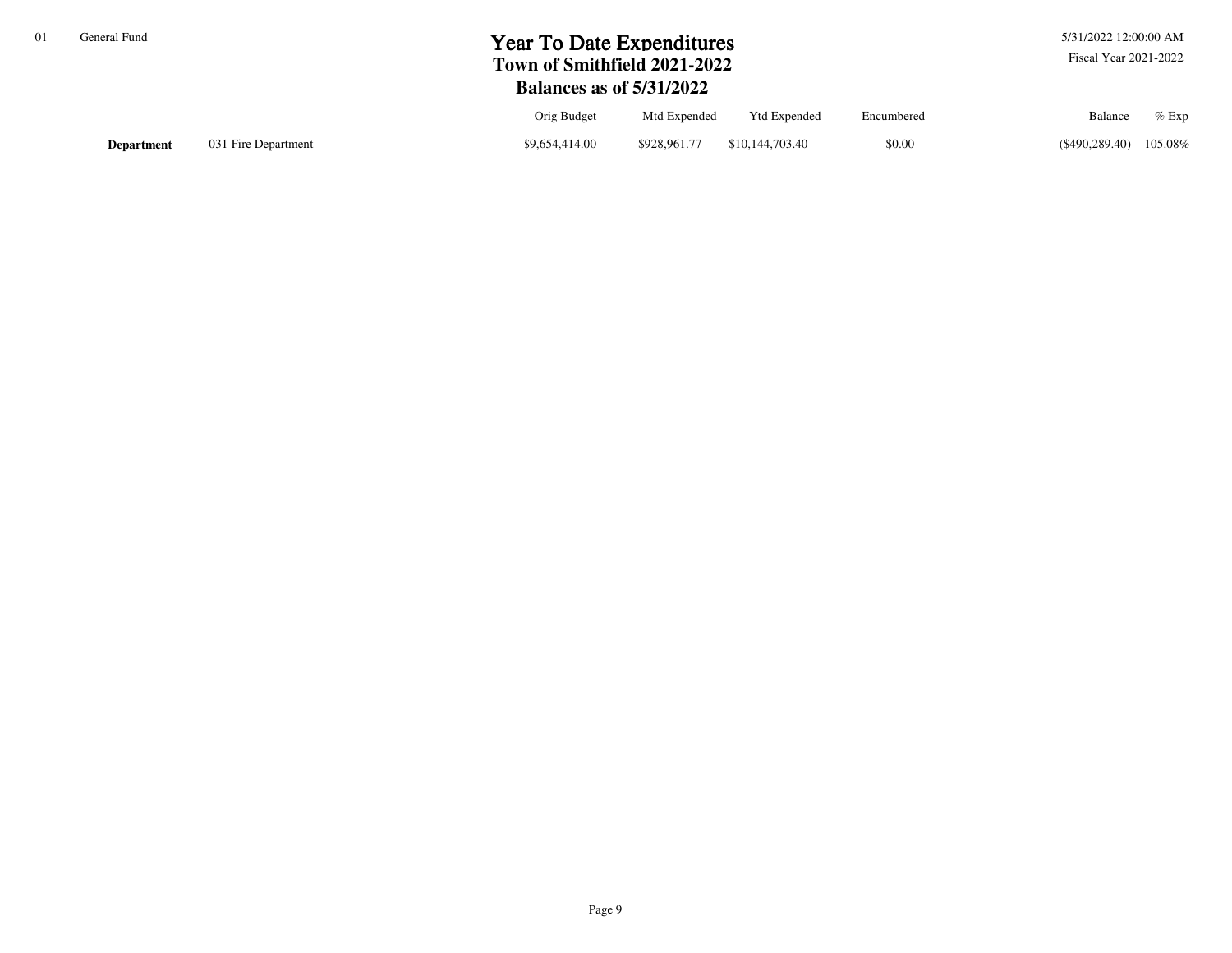5/31/2022 12:00:00 AM

|                   |                     | Orig Budget    | Mtd Expended | <b>Ytd Expended</b> | Encumbered | Balance                   | $%$ Exp |
|-------------------|---------------------|----------------|--------------|---------------------|------------|---------------------------|---------|
| <b>Department</b> | 031 Fire Department | \$9,654,414.00 | \$928,961.77 | \$10,144,703.40     | \$0.00     | $($ \$490,289.40) 105.08% |         |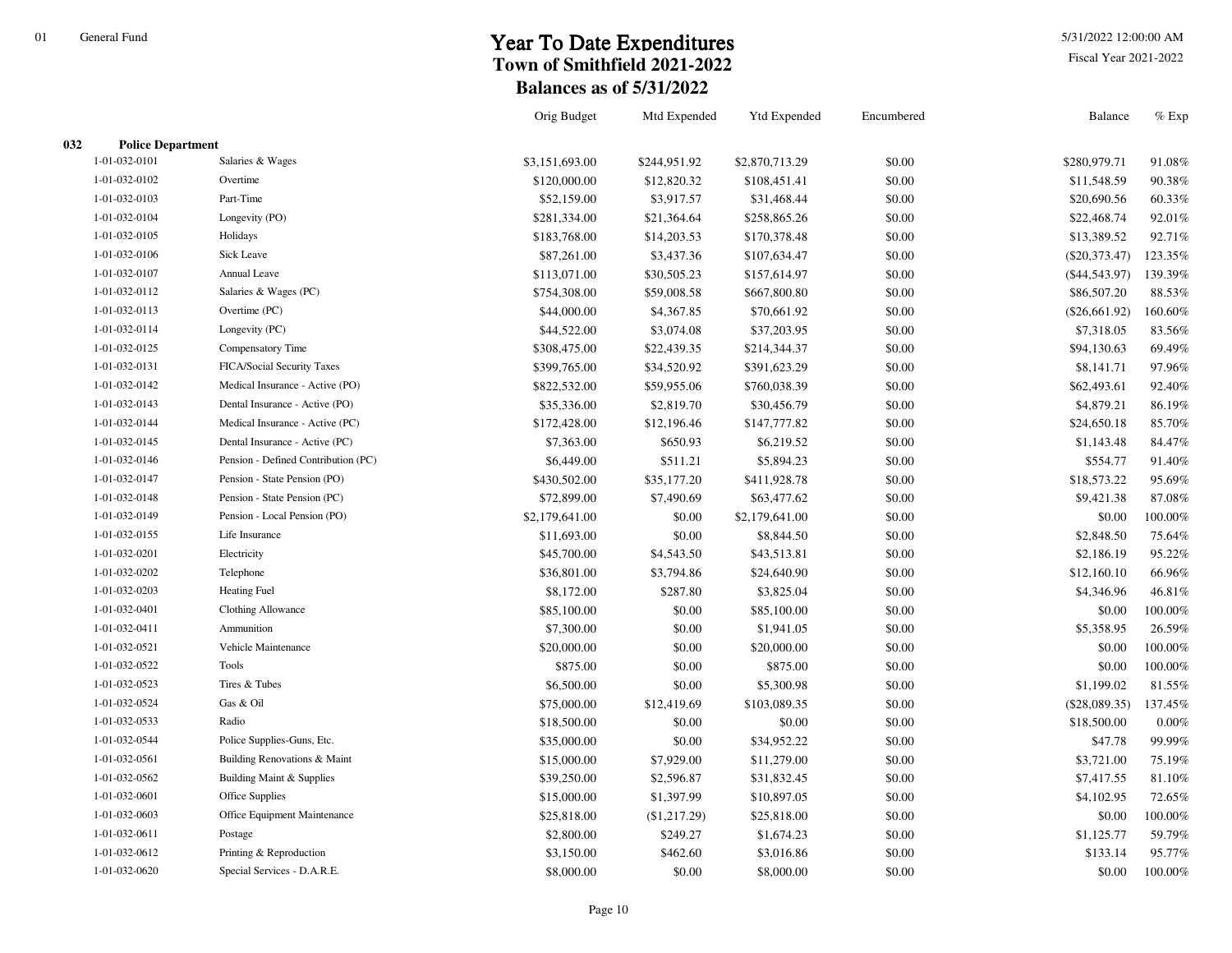5/31/2022 12:00:00 AM

|     |                          |                                     | Orig Budget    | Mtd Expended | <b>Ytd Expended</b> | Encumbered | <b>Balance</b>  | $%$ Exp |
|-----|--------------------------|-------------------------------------|----------------|--------------|---------------------|------------|-----------------|---------|
| 032 | <b>Police Department</b> |                                     |                |              |                     |            |                 |         |
|     | 1-01-032-0101            | Salaries & Wages                    | \$3,151,693.00 | \$244,951.92 | \$2,870,713.29      | \$0.00     | \$280,979.71    | 91.08%  |
|     | 1-01-032-0102            | Overtime                            | \$120,000.00   | \$12,820.32  | \$108,451.41        | \$0.00     | \$11,548.59     | 90.38%  |
|     | 1-01-032-0103            | Part-Time                           | \$52,159.00    | \$3,917.57   | \$31,468.44         | \$0.00     | \$20,690.56     | 60.33%  |
|     | 1-01-032-0104            | Longevity (PO)                      | \$281,334.00   | \$21,364.64  | \$258,865.26        | \$0.00     | \$22,468.74     | 92.01%  |
|     | 1-01-032-0105            | Holidays                            | \$183,768.00   | \$14,203.53  | \$170,378.48        | \$0.00     | \$13,389.52     | 92.71%  |
|     | 1-01-032-0106            | Sick Leave                          | \$87,261.00    | \$3,437.36   | \$107,634.47        | \$0.00     | $(\$20,373.47)$ | 123.35% |
|     | 1-01-032-0107            | Annual Leave                        | \$113,071.00   | \$30,505.23  | \$157,614.97        | \$0.00     | $(\$44,543.97)$ | 139.39% |
|     | 1-01-032-0112            | Salaries & Wages (PC)               | \$754,308.00   | \$59,008.58  | \$667,800.80        | \$0.00     | \$86,507.20     | 88.53%  |
|     | 1-01-032-0113            | Overtime (PC)                       | \$44,000.00    | \$4,367.85   | \$70,661.92         | \$0.00     | $(\$26,661.92)$ | 160.60% |
|     | 1-01-032-0114            | Longevity (PC)                      | \$44,522.00    | \$3,074.08   | \$37,203.95         | \$0.00     | \$7,318.05      | 83.56%  |
|     | 1-01-032-0125            | Compensatory Time                   | \$308,475.00   | \$22,439.35  | \$214,344.37        | \$0.00     | \$94,130.63     | 69.49%  |
|     | 1-01-032-0131            | FICA/Social Security Taxes          | \$399,765.00   | \$34,520.92  | \$391,623.29        | \$0.00     | \$8,141.71      | 97.96%  |
|     | 1-01-032-0142            | Medical Insurance - Active (PO)     | \$822,532.00   | \$59,955.06  | \$760,038.39        | \$0.00     | \$62,493.61     | 92.40%  |
|     | 1-01-032-0143            | Dental Insurance - Active (PO)      | \$35,336.00    | \$2,819.70   | \$30,456.79         | \$0.00     | \$4,879.21      | 86.19%  |
|     | 1-01-032-0144            | Medical Insurance - Active (PC)     | \$172,428.00   | \$12,196.46  | \$147,777.82        | \$0.00     | \$24,650.18     | 85.70%  |
|     | 1-01-032-0145            | Dental Insurance - Active (PC)      | \$7,363.00     | \$650.93     | \$6,219.52          | \$0.00     | \$1,143.48      | 84.47%  |
|     | 1-01-032-0146            | Pension - Defined Contribution (PC) | \$6,449.00     | \$511.21     | \$5,894.23          | \$0.00     | \$554.77        | 91.40%  |
|     | 1-01-032-0147            | Pension - State Pension (PO)        | \$430,502.00   | \$35,177.20  | \$411,928.78        | \$0.00     | \$18,573.22     | 95.69%  |
|     | 1-01-032-0148            | Pension - State Pension (PC)        | \$72,899.00    | \$7,490.69   | \$63,477.62         | \$0.00     | \$9,421.38      | 87.08%  |
|     | 1-01-032-0149            | Pension - Local Pension (PO)        | \$2,179,641.00 | \$0.00       | \$2,179,641.00      | \$0.00     | \$0.00          | 100.00% |
|     | 1-01-032-0155            | Life Insurance                      | \$11,693.00    | \$0.00       | \$8,844.50          | \$0.00     | \$2,848.50      | 75.64%  |
|     | 1-01-032-0201            | Electricity                         | \$45,700.00    | \$4,543.50   | \$43,513.81         | \$0.00     | \$2,186.19      | 95.22%  |
|     | 1-01-032-0202            | Telephone                           | \$36,801.00    | \$3,794.86   | \$24,640.90         | \$0.00     | \$12,160.10     | 66.96%  |
|     | 1-01-032-0203            | <b>Heating Fuel</b>                 | \$8,172.00     | \$287.80     | \$3,825.04          | \$0.00     | \$4,346.96      | 46.81%  |
|     | 1-01-032-0401            | Clothing Allowance                  | \$85,100.00    | \$0.00       | \$85,100.00         | \$0.00     | \$0.00          | 100.00% |
|     | 1-01-032-0411            | Ammunition                          | \$7,300.00     | \$0.00       | \$1,941.05          | \$0.00     | \$5,358.95      | 26.59%  |
|     | 1-01-032-0521            | Vehicle Maintenance                 | \$20,000.00    | \$0.00       | \$20,000.00         | \$0.00     | \$0.00          | 100.00% |
|     | 1-01-032-0522            | Tools                               | \$875.00       | \$0.00       | \$875.00            | \$0.00     | \$0.00          | 100.00% |
|     | 1-01-032-0523            | Tires & Tubes                       | \$6,500.00     | \$0.00       | \$5,300.98          | \$0.00     | \$1,199.02      | 81.55%  |
|     | 1-01-032-0524            | Gas & Oil                           | \$75,000.00    | \$12,419.69  | \$103,089.35        | \$0.00     | $(\$28,089.35)$ | 137.45% |
|     | 1-01-032-0533            | Radio                               | \$18,500.00    | \$0.00       | \$0.00              | \$0.00     | \$18,500.00     | 0.00%   |
|     | 1-01-032-0544            | Police Supplies-Guns, Etc.          | \$35,000.00    | \$0.00       | \$34,952.22         | \$0.00     | \$47.78         | 99.99%  |
|     | 1-01-032-0561            | Building Renovations & Maint        | \$15,000.00    | \$7,929.00   | \$11,279.00         | \$0.00     | \$3,721.00      | 75.19%  |
|     | 1-01-032-0562            | Building Maint & Supplies           | \$39,250.00    | \$2,596.87   | \$31,832.45         | \$0.00     | \$7,417.55      | 81.10%  |
|     | 1-01-032-0601            | Office Supplies                     | \$15,000.00    | \$1,397.99   | \$10,897.05         | \$0.00     | \$4,102.95      | 72.65%  |
|     | 1-01-032-0603            | Office Equipment Maintenance        | \$25,818.00    | (\$1,217.29) | \$25,818.00         | \$0.00     | \$0.00          | 100.00% |
|     | 1-01-032-0611            | Postage                             | \$2,800.00     | \$249.27     | \$1,674.23          | \$0.00     | \$1,125.77      | 59.79%  |
|     | 1-01-032-0612            | Printing & Reproduction             | \$3,150.00     | \$462.60     | \$3,016.86          | \$0.00     | \$133.14        | 95.77%  |
|     | 1-01-032-0620            | Special Services - D.A.R.E.         | \$8,000.00     | \$0.00       | \$8,000.00          | \$0.00     | \$0.00          | 100.00% |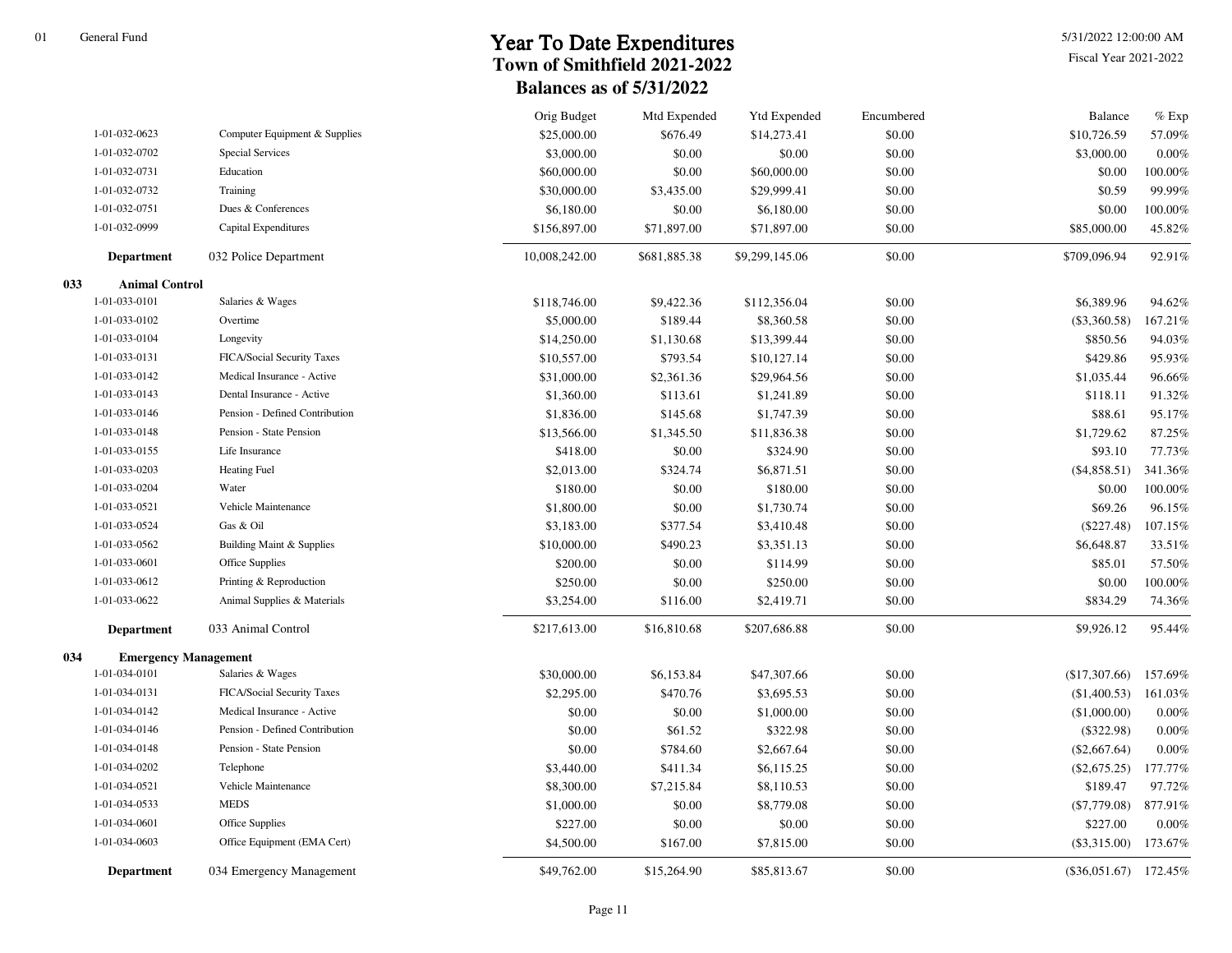5/31/2022 12:00:00 AM

|     |                             |                                | Orig Budget   | Mtd Expended | <b>Ytd Expended</b> | Encumbered | Balance                 | $\%$ Exp |
|-----|-----------------------------|--------------------------------|---------------|--------------|---------------------|------------|-------------------------|----------|
|     | 1-01-032-0623               | Computer Equipment & Supplies  | \$25,000.00   | \$676.49     | \$14,273.41         | \$0.00     | \$10,726.59             | 57.09%   |
|     | 1-01-032-0702               | <b>Special Services</b>        | \$3,000.00    | \$0.00       | \$0.00              | \$0.00     | \$3,000.00              | 0.00%    |
|     | 1-01-032-0731               | Education                      | \$60,000.00   | \$0.00       | \$60,000.00         | \$0.00     | \$0.00                  | 100.00%  |
|     | 1-01-032-0732               | Training                       | \$30,000.00   | \$3,435.00   | \$29,999.41         | \$0.00     | \$0.59                  | 99.99%   |
|     | 1-01-032-0751               | Dues & Conferences             | \$6,180.00    | \$0.00       | \$6,180.00          | \$0.00     | \$0.00                  | 100.00%  |
|     | 1-01-032-0999               | Capital Expenditures           | \$156,897.00  | \$71,897.00  | \$71,897.00         | \$0.00     | \$85,000.00             | 45.82%   |
|     | <b>Department</b>           | 032 Police Department          | 10,008,242.00 | \$681,885.38 | \$9,299,145.06      | \$0.00     | \$709,096.94            | 92.91%   |
| 033 | <b>Animal Control</b>       |                                |               |              |                     |            |                         |          |
|     | 1-01-033-0101               | Salaries & Wages               | \$118,746.00  | \$9,422.36   | \$112,356.04        | \$0.00     | \$6,389.96              | 94.62%   |
|     | 1-01-033-0102               | Overtime                       | \$5,000.00    | \$189.44     | \$8,360.58          | \$0.00     | $(\$3,360.58)$          | 167.21%  |
|     | 1-01-033-0104               | Longevity                      | \$14,250.00   | \$1,130.68   | \$13,399.44         | \$0.00     | \$850.56                | 94.03%   |
|     | 1-01-033-0131               | FICA/Social Security Taxes     | \$10,557.00   | \$793.54     | \$10,127.14         | \$0.00     | \$429.86                | 95.93%   |
|     | 1-01-033-0142               | Medical Insurance - Active     | \$31,000.00   | \$2,361.36   | \$29,964.56         | \$0.00     | \$1,035.44              | 96.66%   |
|     | 1-01-033-0143               | Dental Insurance - Active      | \$1,360.00    | \$113.61     | \$1,241.89          | \$0.00     | \$118.11                | 91.32%   |
|     | 1-01-033-0146               | Pension - Defined Contribution | \$1,836.00    | \$145.68     | \$1,747.39          | \$0.00     | \$88.61                 | 95.17%   |
|     | 1-01-033-0148               | Pension - State Pension        | \$13,566.00   | \$1,345.50   | \$11,836.38         | \$0.00     | \$1,729.62              | 87.25%   |
|     | 1-01-033-0155               | Life Insurance                 | \$418.00      | \$0.00       | \$324.90            | \$0.00     | \$93.10                 | 77.73%   |
|     | 1-01-033-0203               | <b>Heating Fuel</b>            | \$2,013.00    | \$324.74     | \$6,871.51          | \$0.00     | (\$4,858.51)            | 341.36%  |
|     | 1-01-033-0204               | Water                          | \$180.00      | \$0.00       | \$180.00            | \$0.00     | \$0.00                  | 100.00%  |
|     | 1-01-033-0521               | Vehicle Maintenance            | \$1,800.00    | \$0.00       | \$1,730.74          | \$0.00     | \$69.26                 | 96.15%   |
|     | 1-01-033-0524               | Gas & Oil                      | \$3,183.00    | \$377.54     | \$3,410.48          | \$0.00     | $(\$227.48)$            | 107.15%  |
|     | 1-01-033-0562               | Building Maint & Supplies      | \$10,000.00   | \$490.23     | \$3,351.13          | \$0.00     | \$6,648.87              | 33.51%   |
|     | 1-01-033-0601               | Office Supplies                | \$200.00      | \$0.00       | \$114.99            | \$0.00     | \$85.01                 | 57.50%   |
|     | 1-01-033-0612               | Printing & Reproduction        | \$250.00      | \$0.00       | \$250.00            | \$0.00     | \$0.00                  | 100.00%  |
|     | 1-01-033-0622               | Animal Supplies & Materials    | \$3,254.00    | \$116.00     | \$2,419.71          | \$0.00     | \$834.29                | 74.36%   |
|     | <b>Department</b>           | 033 Animal Control             | \$217,613.00  | \$16,810.68  | \$207,686.88        | \$0.00     | \$9,926.12              | 95.44%   |
| 034 | <b>Emergency Management</b> |                                |               |              |                     |            |                         |          |
|     | 1-01-034-0101               | Salaries & Wages               | \$30,000.00   | \$6,153.84   | \$47,307.66         | \$0.00     | (\$17,307.66)           | 157.69%  |
|     | 1-01-034-0131               | FICA/Social Security Taxes     | \$2,295.00    | \$470.76     | \$3,695.53          | \$0.00     | (\$1,400.53)            | 161.03%  |
|     | 1-01-034-0142               | Medical Insurance - Active     | \$0.00        | \$0.00       | \$1,000.00          | \$0.00     | (\$1,000.00)            | 0.00%    |
|     | 1-01-034-0146               | Pension - Defined Contribution | \$0.00        | \$61.52      | \$322.98            | \$0.00     | $(\$322.98)$            | 0.00%    |
|     | 1-01-034-0148               | Pension - State Pension        | \$0.00        | \$784.60     | \$2,667.64          | \$0.00     | $(\$2,667.64)$          | 0.00%    |
|     | 1-01-034-0202               | Telephone                      | \$3,440.00    | \$411.34     | \$6,115.25          | \$0.00     | $(\$2,675.25)$          | 177.77%  |
|     | 1-01-034-0521               | Vehicle Maintenance            | \$8,300.00    | \$7,215.84   | \$8,110.53          | \$0.00     | \$189.47                | 97.72%   |
|     | 1-01-034-0533               | <b>MEDS</b>                    | \$1,000.00    | \$0.00       | \$8,779.08          | \$0.00     | $(\$7,779.08)$          | 877.91%  |
|     | 1-01-034-0601               | Office Supplies                | \$227.00      | \$0.00       | \$0.00              | \$0.00     | \$227.00                | 0.00%    |
|     | 1-01-034-0603               | Office Equipment (EMA Cert)    | \$4,500.00    | \$167.00     | \$7,815.00          | \$0.00     | $(\$3,315.00)$          | 173.67%  |
|     | <b>Department</b>           | 034 Emergency Management       | \$49,762.00   | \$15,264.90  | \$85,813.67         | \$0.00     | $(\$36,051.67)$ 172.45% |          |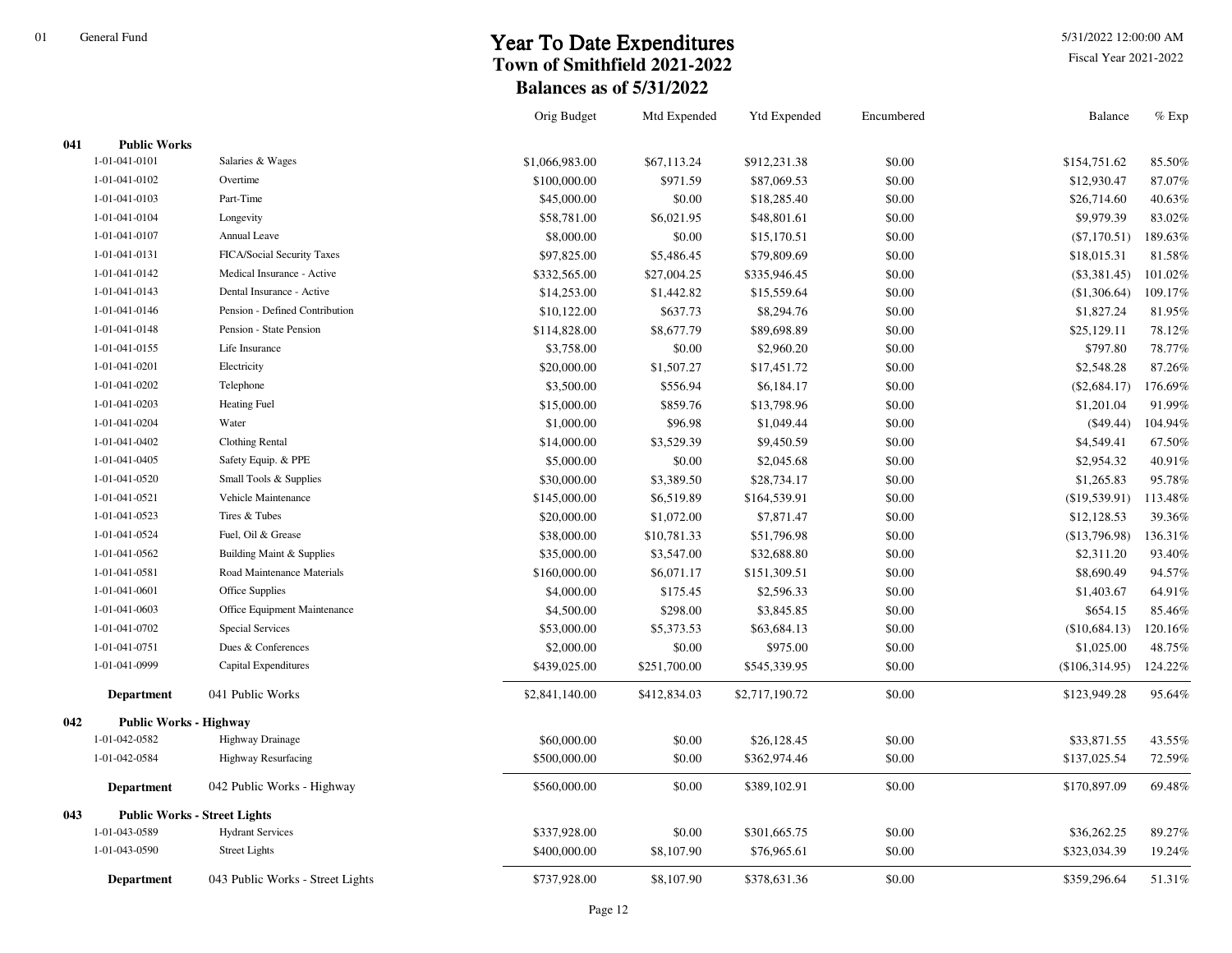5/31/2022 12:00:00 AM

|                            |                                     | Orig Budget    | Mtd Expended | <b>Ytd Expended</b> | Encumbered | Balance        | $%$ Exp |
|----------------------------|-------------------------------------|----------------|--------------|---------------------|------------|----------------|---------|
| 041<br><b>Public Works</b> |                                     |                |              |                     |            |                |         |
| 1-01-041-0101              | Salaries & Wages                    | \$1,066,983.00 | \$67,113.24  | \$912,231.38        | \$0.00     | \$154,751.62   | 85.50%  |
| 1-01-041-0102              | Overtime                            | \$100,000.00   | \$971.59     | \$87,069.53         | \$0.00     | \$12,930.47    | 87.07%  |
| 1-01-041-0103              | Part-Time                           | \$45,000.00    | \$0.00       | \$18,285.40         | \$0.00     | \$26,714.60    | 40.63%  |
| 1-01-041-0104              | Longevity                           | \$58,781.00    | \$6,021.95   | \$48,801.61         | \$0.00     | \$9,979.39     | 83.02%  |
| 1-01-041-0107              | Annual Leave                        | \$8,000.00     | \$0.00       | \$15,170.51         | \$0.00     | $(\$7,170.51)$ | 189.63% |
| 1-01-041-0131              | FICA/Social Security Taxes          | \$97,825.00    | \$5,486.45   | \$79,809.69         | \$0.00     | \$18,015.31    | 81.58%  |
| 1-01-041-0142              | Medical Insurance - Active          | \$332,565.00   | \$27,004.25  | \$335,946.45        | \$0.00     | $(\$3,381.45)$ | 101.02% |
| 1-01-041-0143              | Dental Insurance - Active           | \$14,253.00    | \$1,442.82   | \$15,559.64         | \$0.00     | (\$1,306.64)   | 109.17% |
| 1-01-041-0146              | Pension - Defined Contribution      | \$10,122.00    | \$637.73     | \$8,294.76          | \$0.00     | \$1,827.24     | 81.95%  |
| 1-01-041-0148              | Pension - State Pension             | \$114,828.00   | \$8,677.79   | \$89,698.89         | \$0.00     | \$25,129.11    | 78.12%  |
| 1-01-041-0155              | Life Insurance                      | \$3,758.00     | \$0.00       | \$2,960.20          | \$0.00     | \$797.80       | 78.77%  |
| 1-01-041-0201              | Electricity                         | \$20,000.00    | \$1,507.27   | \$17,451.72         | \$0.00     | \$2,548.28     | 87.26%  |
| 1-01-041-0202              | Telephone                           | \$3,500.00     | \$556.94     | \$6,184.17          | \$0.00     | (\$2,684.17)   | 176.69% |
| 1-01-041-0203              | <b>Heating Fuel</b>                 | \$15,000.00    | \$859.76     | \$13,798.96         | \$0.00     | \$1,201.04     | 91.99%  |
| 1-01-041-0204              | Water                               | \$1,000.00     | \$96.98      | \$1,049.44          | \$0.00     | $(\$49.44)$    | 104.94% |
| 1-01-041-0402              | <b>Clothing Rental</b>              | \$14,000.00    | \$3,529.39   | \$9,450.59          | \$0.00     | \$4,549.41     | 67.50%  |
| 1-01-041-0405              | Safety Equip. & PPE                 | \$5,000.00     | \$0.00       | \$2,045.68          | \$0.00     | \$2,954.32     | 40.91%  |
| 1-01-041-0520              | Small Tools & Supplies              | \$30,000.00    | \$3,389.50   | \$28,734.17         | \$0.00     | \$1,265.83     | 95.78%  |
| 1-01-041-0521              | Vehicle Maintenance                 | \$145,000.00   | \$6,519.89   | \$164,539.91        | \$0.00     | (\$19,539.91)  | 113.48% |
| 1-01-041-0523              | Tires & Tubes                       | \$20,000.00    | \$1,072.00   | \$7,871.47          | \$0.00     | \$12,128.53    | 39.36%  |
| 1-01-041-0524              | Fuel, Oil & Grease                  | \$38,000.00    | \$10,781.33  | \$51,796.98         | \$0.00     | (\$13,796.98)  | 136.31% |
| 1-01-041-0562              | Building Maint & Supplies           | \$35,000.00    | \$3,547.00   | \$32,688.80         | \$0.00     | \$2,311.20     | 93.40%  |
| 1-01-041-0581              | Road Maintenance Materials          | \$160,000.00   | \$6,071.17   | \$151,309.51        | \$0.00     | \$8,690.49     | 94.57%  |
| 1-01-041-0601              | Office Supplies                     | \$4,000.00     | \$175.45     | \$2,596.33          | \$0.00     | \$1,403.67     | 64.91%  |
| 1-01-041-0603              | Office Equipment Maintenance        | \$4,500.00     | \$298.00     | \$3,845.85          | \$0.00     | \$654.15       | 85.46%  |
| 1-01-041-0702              | <b>Special Services</b>             | \$53,000.00    | \$5,373.53   | \$63,684.13         | \$0.00     | (\$10,684.13)  | 120.16% |
| 1-01-041-0751              | Dues & Conferences                  | \$2,000.00     | \$0.00       | \$975.00            | \$0.00     | \$1,025.00     | 48.75%  |
| 1-01-041-0999              | Capital Expenditures                | \$439,025.00   | \$251,700.00 | \$545,339.95        | \$0.00     | (\$106,314.95) | 124.22% |
| <b>Department</b>          | 041 Public Works                    | \$2,841,140.00 | \$412,834.03 | \$2,717,190.72      | \$0.00     | \$123,949.28   | 95.64%  |
| 042                        | <b>Public Works - Highway</b>       |                |              |                     |            |                |         |
| 1-01-042-0582              | <b>Highway Drainage</b>             | \$60,000.00    | \$0.00       | \$26,128.45         | \$0.00     | \$33,871.55    | 43.55%  |
| 1-01-042-0584              | <b>Highway Resurfacing</b>          | \$500,000.00   | \$0.00       | \$362,974.46        | \$0.00     | \$137,025.54   | 72.59%  |
| <b>Department</b>          | 042 Public Works - Highway          | \$560,000.00   | \$0.00       | \$389,102.91        | \$0.00     | \$170,897.09   | 69.48%  |
| 043                        | <b>Public Works - Street Lights</b> |                |              |                     |            |                |         |
| 1-01-043-0589              | <b>Hydrant Services</b>             | \$337,928.00   | \$0.00       | \$301,665.75        | \$0.00     | \$36,262.25    | 89.27%  |
| 1-01-043-0590              | <b>Street Lights</b>                | \$400,000.00   | \$8,107.90   | \$76,965.61         | \$0.00     | \$323,034.39   | 19.24%  |
| <b>Department</b>          | 043 Public Works - Street Lights    | \$737,928.00   | \$8,107.90   | \$378,631.36        | \$0.00     | \$359,296.64   | 51.31%  |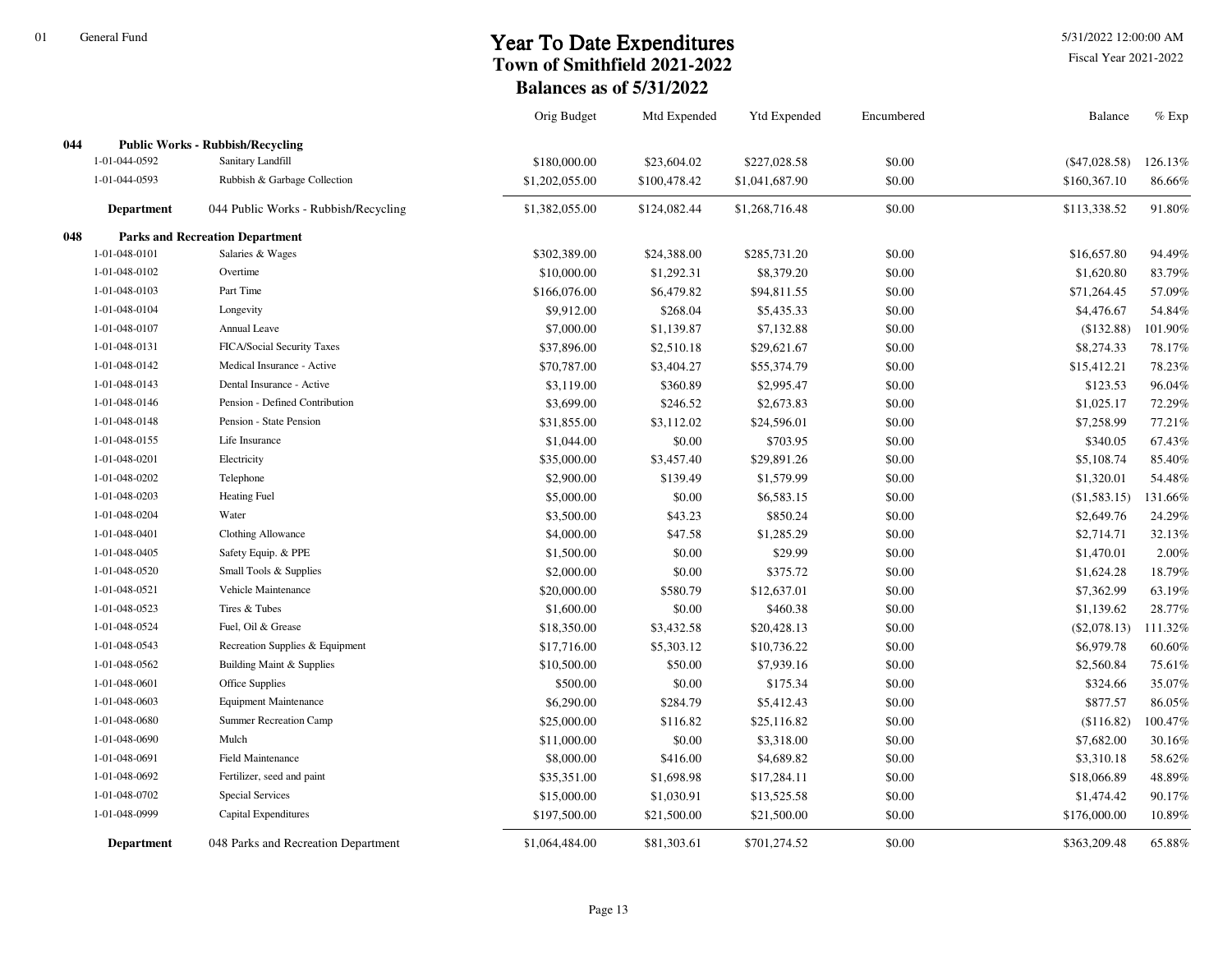5/31/2022 12:00:00 AM

|     |                   |                                         | Orig Budget    | Mtd Expended | <b>Ytd Expended</b> | Encumbered | Balance         | $%$ Exp |
|-----|-------------------|-----------------------------------------|----------------|--------------|---------------------|------------|-----------------|---------|
| 044 |                   | <b>Public Works - Rubbish/Recycling</b> |                |              |                     |            |                 |         |
|     | 1-01-044-0592     | Sanitary Landfill                       | \$180,000.00   | \$23,604.02  | \$227,028.58        | \$0.00     | $(\$47,028.58)$ | 126.13% |
|     | 1-01-044-0593     | Rubbish & Garbage Collection            | \$1,202,055.00 | \$100,478.42 | \$1,041,687.90      | \$0.00     | \$160,367.10    | 86.66%  |
|     | <b>Department</b> | 044 Public Works - Rubbish/Recycling    | \$1,382,055.00 | \$124,082.44 | \$1,268,716.48      | \$0.00     | \$113,338.52    | 91.80%  |
| 048 |                   | <b>Parks and Recreation Department</b>  |                |              |                     |            |                 |         |
|     | 1-01-048-0101     | Salaries & Wages                        | \$302,389.00   | \$24,388.00  | \$285,731.20        | \$0.00     | \$16,657.80     | 94.49%  |
|     | 1-01-048-0102     | Overtime                                | \$10,000.00    | \$1,292.31   | \$8,379.20          | \$0.00     | \$1,620.80      | 83.79%  |
|     | 1-01-048-0103     | Part Time                               | \$166,076.00   | \$6,479.82   | \$94,811.55         | \$0.00     | \$71,264.45     | 57.09%  |
|     | 1-01-048-0104     | Longevity                               | \$9,912.00     | \$268.04     | \$5,435.33          | \$0.00     | \$4,476.67      | 54.84%  |
|     | 1-01-048-0107     | Annual Leave                            | \$7,000.00     | \$1,139.87   | \$7,132.88          | \$0.00     | (\$132.88)      | 101.90% |
|     | 1-01-048-0131     | FICA/Social Security Taxes              | \$37,896.00    | \$2,510.18   | \$29,621.67         | \$0.00     | \$8,274.33      | 78.17%  |
|     | 1-01-048-0142     | Medical Insurance - Active              | \$70,787.00    | \$3,404.27   | \$55,374.79         | \$0.00     | \$15,412.21     | 78.23%  |
|     | 1-01-048-0143     | Dental Insurance - Active               | \$3,119.00     | \$360.89     | \$2,995.47          | \$0.00     | \$123.53        | 96.04%  |
|     | 1-01-048-0146     | Pension - Defined Contribution          | \$3,699.00     | \$246.52     | \$2,673.83          | \$0.00     | \$1,025.17      | 72.29%  |
|     | 1-01-048-0148     | Pension - State Pension                 | \$31,855.00    | \$3,112.02   | \$24,596.01         | \$0.00     | \$7,258.99      | 77.21%  |
|     | 1-01-048-0155     | Life Insurance                          | \$1,044.00     | \$0.00       | \$703.95            | \$0.00     | \$340.05        | 67.43%  |
|     | 1-01-048-0201     | Electricity                             | \$35,000.00    | \$3,457.40   | \$29,891.26         | \$0.00     | \$5,108.74      | 85.40%  |
|     | 1-01-048-0202     | Telephone                               | \$2,900.00     | \$139.49     | \$1,579.99          | \$0.00     | \$1,320.01      | 54.48%  |
|     | 1-01-048-0203     | <b>Heating Fuel</b>                     | \$5,000.00     | \$0.00       | \$6,583.15          | \$0.00     | (\$1,583.15)    | 131.66% |
|     | 1-01-048-0204     | Water                                   | \$3,500.00     | \$43.23      | \$850.24            | \$0.00     | \$2,649.76      | 24.29%  |
|     | 1-01-048-0401     | <b>Clothing Allowance</b>               | \$4,000.00     | \$47.58      | \$1,285.29          | \$0.00     | \$2,714.71      | 32.13%  |
|     | 1-01-048-0405     | Safety Equip. & PPE                     | \$1,500.00     | \$0.00       | \$29.99             | \$0.00     | \$1,470.01      | 2.00%   |
|     | 1-01-048-0520     | Small Tools & Supplies                  | \$2,000.00     | \$0.00       | \$375.72            | \$0.00     | \$1,624.28      | 18.79%  |
|     | 1-01-048-0521     | Vehicle Maintenance                     | \$20,000.00    | \$580.79     | \$12,637.01         | \$0.00     | \$7,362.99      | 63.19%  |
|     | 1-01-048-0523     | Tires & Tubes                           | \$1,600.00     | \$0.00       | \$460.38            | \$0.00     | \$1,139.62      | 28.77%  |
|     | 1-01-048-0524     | Fuel, Oil & Grease                      | \$18,350.00    | \$3,432.58   | \$20,428.13         | \$0.00     | $(\$2,078.13)$  | 111.32% |
|     | 1-01-048-0543     | Recreation Supplies & Equipment         | \$17,716.00    | \$5,303.12   | \$10,736.22         | \$0.00     | \$6,979.78      | 60.60%  |
|     | 1-01-048-0562     | Building Maint & Supplies               | \$10,500.00    | \$50.00      | \$7,939.16          | \$0.00     | \$2,560.84      | 75.61%  |
|     | 1-01-048-0601     | Office Supplies                         | \$500.00       | \$0.00       | \$175.34            | \$0.00     | \$324.66        | 35.07%  |
|     | 1-01-048-0603     | <b>Equipment Maintenance</b>            | \$6,290.00     | \$284.79     | \$5,412.43          | \$0.00     | \$877.57        | 86.05%  |
|     | 1-01-048-0680     | <b>Summer Recreation Camp</b>           | \$25,000.00    | \$116.82     | \$25,116.82         | \$0.00     | (\$116.82)      | 100.47% |
|     | 1-01-048-0690     | Mulch                                   | \$11,000.00    | \$0.00       | \$3,318.00          | \$0.00     | \$7,682.00      | 30.16%  |
|     | 1-01-048-0691     | Field Maintenance                       | \$8,000.00     | \$416.00     | \$4,689.82          | \$0.00     | \$3,310.18      | 58.62%  |
|     | 1-01-048-0692     | Fertilizer, seed and paint              | \$35,351.00    | \$1,698.98   | \$17,284.11         | \$0.00     | \$18,066.89     | 48.89%  |
|     | 1-01-048-0702     | <b>Special Services</b>                 | \$15,000.00    | \$1,030.91   | \$13,525.58         | \$0.00     | \$1,474.42      | 90.17%  |
|     | 1-01-048-0999     | Capital Expenditures                    | \$197,500.00   | \$21,500.00  | \$21,500.00         | \$0.00     | \$176,000.00    | 10.89%  |
|     | <b>Department</b> | 048 Parks and Recreation Department     | \$1,064,484.00 | \$81,303.61  | \$701,274.52        | \$0.00     | \$363,209.48    | 65.88%  |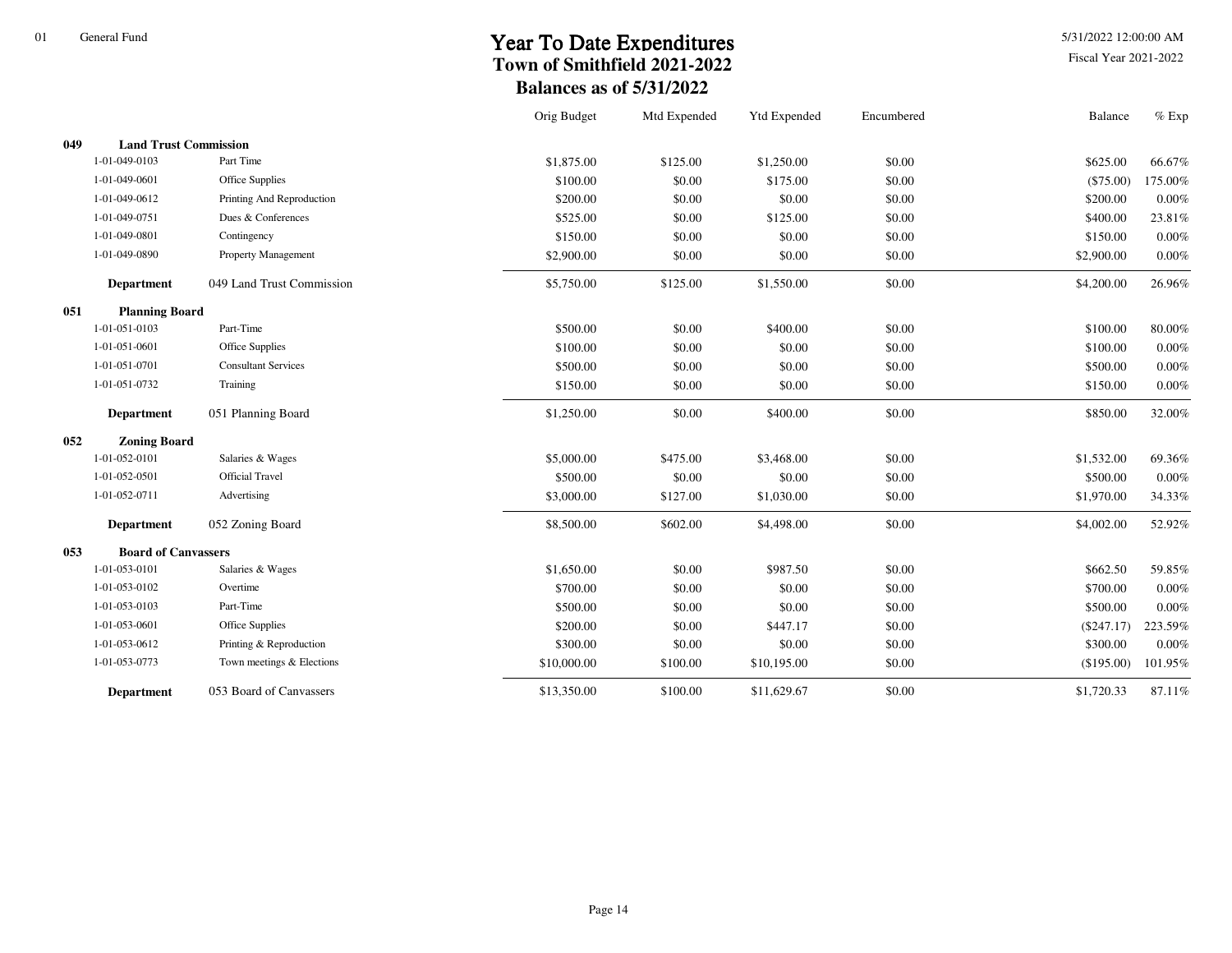5/31/2022 12:00:00 AM

|     |                              |                            | Orig Budget | Mtd Expended | <b>Ytd Expended</b> | Encumbered | Balance     | $\%$ Exp |
|-----|------------------------------|----------------------------|-------------|--------------|---------------------|------------|-------------|----------|
| 049 | <b>Land Trust Commission</b> |                            |             |              |                     |            |             |          |
|     | 1-01-049-0103                | Part Time                  | \$1,875.00  | \$125.00     | \$1,250.00          | \$0.00     | \$625.00    | 66.67%   |
|     | 1-01-049-0601                | Office Supplies            | \$100.00    | \$0.00       | \$175.00            | \$0.00     | $(\$75.00)$ | 175.00%  |
|     | 1-01-049-0612                | Printing And Reproduction  | \$200.00    | \$0.00       | \$0.00              | \$0.00     | \$200.00    | 0.00%    |
|     | 1-01-049-0751                | Dues & Conferences         | \$525.00    | \$0.00       | \$125.00            | \$0.00     | \$400.00    | 23.81%   |
|     | 1-01-049-0801                | Contingency                | \$150.00    | \$0.00       | \$0.00              | \$0.00     | \$150.00    | 0.00%    |
|     | 1-01-049-0890                | Property Management        | \$2,900.00  | \$0.00       | \$0.00              | \$0.00     | \$2,900.00  | 0.00%    |
|     | <b>Department</b>            | 049 Land Trust Commission  | \$5,750.00  | \$125.00     | \$1,550.00          | \$0.00     | \$4,200.00  | 26.96%   |
| 051 | <b>Planning Board</b>        |                            |             |              |                     |            |             |          |
|     | 1-01-051-0103                | Part-Time                  | \$500.00    | \$0.00       | \$400.00            | \$0.00     | \$100.00    | 80.00%   |
|     | 1-01-051-0601                | Office Supplies            | \$100.00    | \$0.00       | \$0.00              | \$0.00     | \$100.00    | 0.00%    |
|     | 1-01-051-0701                | <b>Consultant Services</b> | \$500.00    | \$0.00       | \$0.00              | \$0.00     | \$500.00    | 0.00%    |
|     | 1-01-051-0732                | Training                   | \$150.00    | \$0.00       | \$0.00              | \$0.00     | \$150.00    | 0.00%    |
|     | <b>Department</b>            | 051 Planning Board         | \$1,250.00  | \$0.00       | \$400.00            | \$0.00     | \$850.00    | 32.00%   |
| 052 | <b>Zoning Board</b>          |                            |             |              |                     |            |             |          |
|     | 1-01-052-0101                | Salaries & Wages           | \$5,000.00  | \$475.00     | \$3,468.00          | \$0.00     | \$1,532.00  | 69.36%   |
|     | 1-01-052-0501                | Official Travel            | \$500.00    | \$0.00       | \$0.00              | \$0.00     | \$500.00    | 0.00%    |
|     | 1-01-052-0711                | Advertising                | \$3,000.00  | \$127.00     | \$1,030.00          | \$0.00     | \$1,970.00  | 34.33%   |
|     | <b>Department</b>            | 052 Zoning Board           | \$8,500.00  | \$602.00     | \$4,498.00          | \$0.00     | \$4,002.00  | 52.92%   |
| 053 | <b>Board of Canvassers</b>   |                            |             |              |                     |            |             |          |
|     | 1-01-053-0101                | Salaries & Wages           | \$1,650.00  | \$0.00       | \$987.50            | \$0.00     | \$662.50    | 59.85%   |
|     | 1-01-053-0102                | Overtime                   | \$700.00    | \$0.00       | \$0.00              | \$0.00     | \$700.00    | 0.00%    |
|     | 1-01-053-0103                | Part-Time                  | \$500.00    | \$0.00       | \$0.00              | \$0.00     | \$500.00    | 0.00%    |
|     | 1-01-053-0601                | Office Supplies            | \$200.00    | \$0.00       | \$447.17            | \$0.00     | (\$247.17)  | 223.59%  |
|     | 1-01-053-0612                | Printing & Reproduction    | \$300.00    | \$0.00       | \$0.00              | \$0.00     | \$300.00    | 0.00%    |
|     | 1-01-053-0773                | Town meetings & Elections  | \$10,000.00 | \$100.00     | \$10,195.00         | \$0.00     | (\$195.00)  | 101.95%  |
|     | <b>Department</b>            | 053 Board of Canvassers    | \$13,350.00 | \$100.00     | \$11,629.67         | \$0.00     | \$1,720.33  | 87.11%   |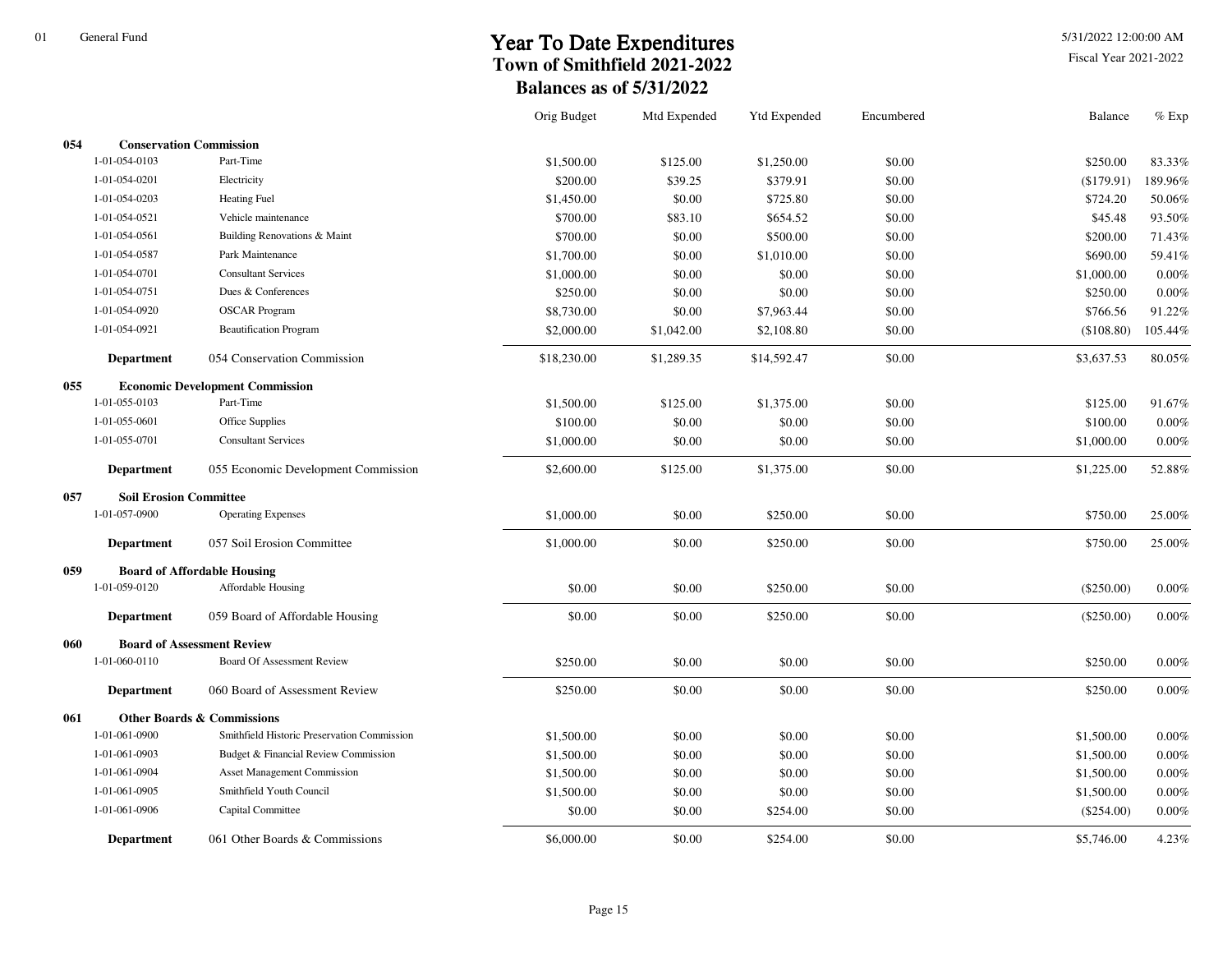5/31/2022 12:00:00 AM

|     |                               |                                             | Orig Budget | Mtd Expended | Ytd Expended | Encumbered | Balance      | $%$ Exp |
|-----|-------------------------------|---------------------------------------------|-------------|--------------|--------------|------------|--------------|---------|
| 054 |                               | <b>Conservation Commission</b>              |             |              |              |            |              |         |
|     | 1-01-054-0103                 | Part-Time                                   | \$1,500.00  | \$125.00     | \$1,250.00   | \$0.00     | \$250.00     | 83.33%  |
|     | 1-01-054-0201                 | Electricity                                 | \$200.00    | \$39.25      | \$379.91     | \$0.00     | (\$179.91)   | 189.96% |
|     | 1-01-054-0203                 | <b>Heating Fuel</b>                         | \$1,450.00  | \$0.00       | \$725.80     | \$0.00     | \$724.20     | 50.06%  |
|     | 1-01-054-0521                 | Vehicle maintenance                         | \$700.00    | \$83.10      | \$654.52     | \$0.00     | \$45.48      | 93.50%  |
|     | 1-01-054-0561                 | Building Renovations & Maint                | \$700.00    | \$0.00       | \$500.00     | \$0.00     | \$200.00     | 71.43%  |
|     | 1-01-054-0587                 | Park Maintenance                            | \$1,700.00  | \$0.00       | \$1,010.00   | \$0.00     | \$690.00     | 59.41%  |
|     | 1-01-054-0701                 | <b>Consultant Services</b>                  | \$1,000.00  | \$0.00       | \$0.00       | \$0.00     | \$1,000.00   | 0.00%   |
|     | 1-01-054-0751                 | Dues & Conferences                          | \$250.00    | \$0.00       | \$0.00       | \$0.00     | \$250.00     | 0.00%   |
|     | 1-01-054-0920                 | <b>OSCAR</b> Program                        | \$8,730.00  | \$0.00       | \$7,963.44   | \$0.00     | \$766.56     | 91.22%  |
|     | 1-01-054-0921                 | <b>Beautification Program</b>               | \$2,000.00  | \$1,042.00   | \$2,108.80   | \$0.00     | (\$108.80)   | 105.44% |
|     | <b>Department</b>             | 054 Conservation Commission                 | \$18,230.00 | \$1,289.35   | \$14,592.47  | \$0.00     | \$3,637.53   | 80.05%  |
| 055 |                               | <b>Economic Development Commission</b>      |             |              |              |            |              |         |
|     | 1-01-055-0103                 | Part-Time                                   | \$1,500.00  | \$125.00     | \$1,375.00   | \$0.00     | \$125.00     | 91.67%  |
|     | 1-01-055-0601                 | Office Supplies                             | \$100.00    | \$0.00       | \$0.00       | \$0.00     | \$100.00     | 0.00%   |
|     | 1-01-055-0701                 | <b>Consultant Services</b>                  | \$1,000.00  | \$0.00       | \$0.00       | \$0.00     | \$1,000.00   | 0.00%   |
|     | <b>Department</b>             | 055 Economic Development Commission         | \$2,600.00  | \$125.00     | \$1,375.00   | \$0.00     | \$1,225.00   | 52.88%  |
| 057 | <b>Soil Erosion Committee</b> |                                             |             |              |              |            |              |         |
|     | 1-01-057-0900                 | <b>Operating Expenses</b>                   | \$1,000.00  | \$0.00       | \$250.00     | \$0.00     | \$750.00     | 25.00%  |
|     | <b>Department</b>             | 057 Soil Erosion Committee                  | \$1,000.00  | \$0.00       | \$250.00     | \$0.00     | \$750.00     | 25.00%  |
| 059 |                               | <b>Board of Affordable Housing</b>          |             |              |              |            |              |         |
|     | 1-01-059-0120                 | Affordable Housing                          | \$0.00      | \$0.00       | \$250.00     | \$0.00     | $(\$250.00)$ | 0.00%   |
|     | <b>Department</b>             | 059 Board of Affordable Housing             | \$0.00      | \$0.00       | \$250.00     | \$0.00     | $(\$250.00)$ | 0.00%   |
| 060 |                               | <b>Board of Assessment Review</b>           |             |              |              |            |              |         |
|     | 1-01-060-0110                 | Board Of Assessment Review                  | \$250.00    | \$0.00       | \$0.00       | \$0.00     | \$250.00     | 0.00%   |
|     | <b>Department</b>             | 060 Board of Assessment Review              | \$250.00    | \$0.00       | \$0.00       | \$0.00     | \$250.00     | 0.00%   |
| 061 |                               | <b>Other Boards &amp; Commissions</b>       |             |              |              |            |              |         |
|     | 1-01-061-0900                 | Smithfield Historic Preservation Commission | \$1,500.00  | \$0.00       | \$0.00       | \$0.00     | \$1,500.00   | 0.00%   |
|     | 1-01-061-0903                 | Budget & Financial Review Commission        | \$1,500.00  | \$0.00       | \$0.00       | \$0.00     | \$1,500.00   | 0.00%   |
|     | 1-01-061-0904                 | <b>Asset Management Commission</b>          | \$1,500.00  | \$0.00       | \$0.00       | \$0.00     | \$1,500.00   | 0.00%   |
|     | 1-01-061-0905                 | Smithfield Youth Council                    | \$1,500.00  | \$0.00       | \$0.00       | \$0.00     | \$1,500.00   | 0.00%   |
|     | 1-01-061-0906                 | Capital Committee                           | \$0.00      | \$0.00       | \$254.00     | \$0.00     | (\$254.00)   | 0.00%   |
|     | <b>Department</b>             | 061 Other Boards & Commissions              | \$6,000.00  | \$0.00       | \$254.00     | \$0.00     | \$5,746.00   | 4.23%   |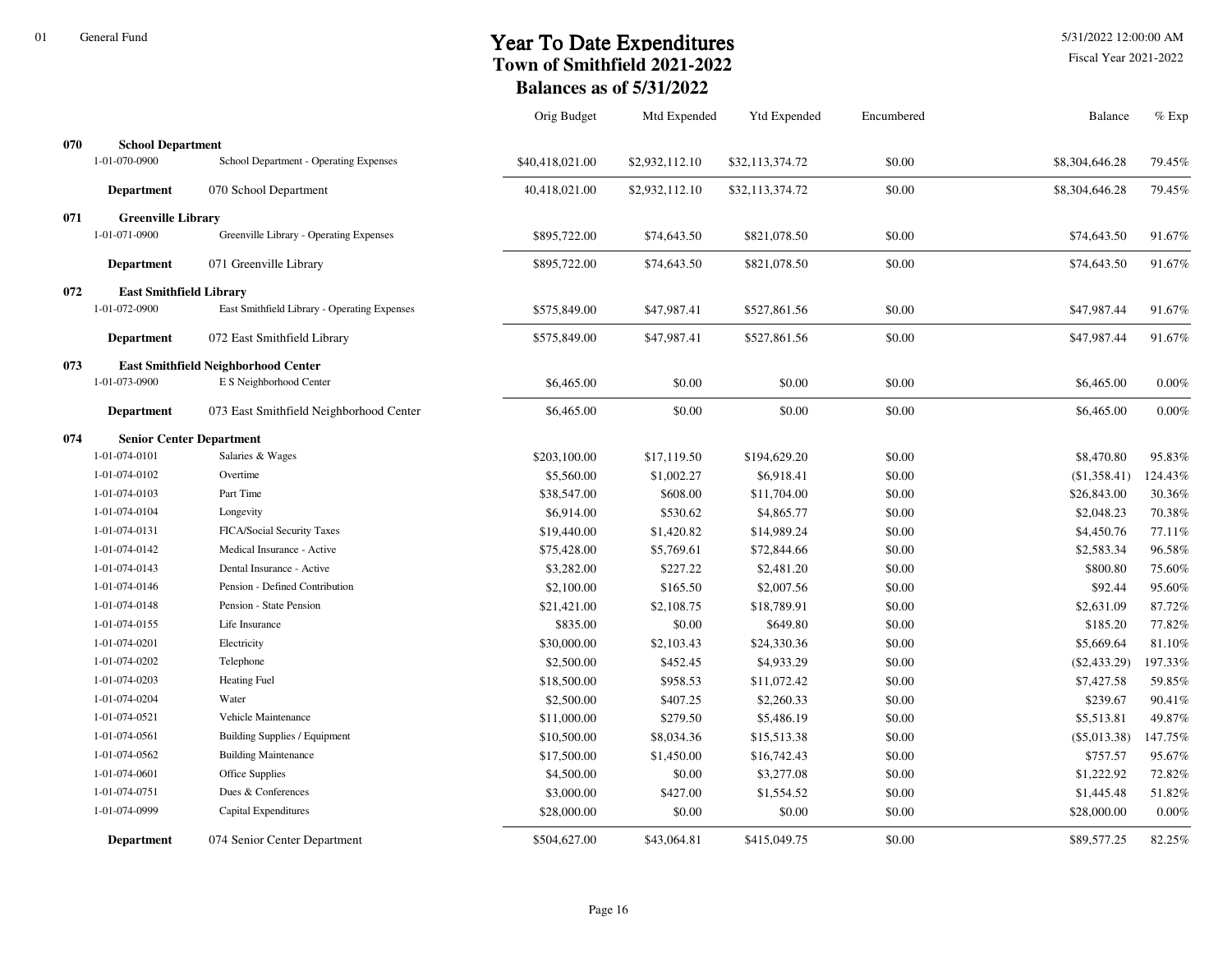5/31/2022 12:00:00 AM

|     |                                |                                              | Orig Budget     | Mtd Expended   | <b>Ytd Expended</b> | Encumbered | Balance        | $%$ Exp |
|-----|--------------------------------|----------------------------------------------|-----------------|----------------|---------------------|------------|----------------|---------|
| 070 | <b>School Department</b>       |                                              |                 |                |                     |            |                |         |
|     | 1-01-070-0900                  | School Department - Operating Expenses       | \$40,418,021.00 | \$2,932,112.10 | \$32,113,374.72     | \$0.00     | \$8,304,646.28 | 79.45%  |
|     | <b>Department</b>              | 070 School Department                        | 40,418,021.00   | \$2,932,112.10 | \$32,113,374.72     | \$0.00     | \$8,304,646.28 | 79.45%  |
| 071 | <b>Greenville Library</b>      |                                              |                 |                |                     |            |                |         |
|     | 1-01-071-0900                  | Greenville Library - Operating Expenses      | \$895,722.00    | \$74,643.50    | \$821,078.50        | \$0.00     | \$74,643.50    | 91.67%  |
|     | <b>Department</b>              | 071 Greenville Library                       | \$895,722.00    | \$74,643.50    | \$821,078.50        | \$0.00     | \$74,643.50    | 91.67%  |
| 072 | <b>East Smithfield Library</b> |                                              |                 |                |                     |            |                |         |
|     | 1-01-072-0900                  | East Smithfield Library - Operating Expenses | \$575,849.00    | \$47,987.41    | \$527,861.56        | \$0.00     | \$47,987.44    | 91.67%  |
|     | <b>Department</b>              | 072 East Smithfield Library                  | \$575,849.00    | \$47,987.41    | \$527,861.56        | \$0.00     | \$47,987.44    | 91.67%  |
| 073 |                                | <b>East Smithfield Neighborhood Center</b>   |                 |                |                     |            |                |         |
|     | 1-01-073-0900                  | E S Neighborhood Center                      | \$6,465.00      | \$0.00         | \$0.00              | \$0.00     | \$6,465.00     | 0.00%   |
|     | <b>Department</b>              | 073 East Smithfield Neighborhood Center      | \$6,465.00      | \$0.00         | \$0.00              | \$0.00     | \$6,465.00     | 0.00%   |
| 074 |                                | <b>Senior Center Department</b>              |                 |                |                     |            |                |         |
|     | 1-01-074-0101                  | Salaries & Wages                             | \$203,100.00    | \$17,119.50    | \$194,629.20        | \$0.00     | \$8,470.80     | 95.83%  |
|     | 1-01-074-0102                  | Overtime                                     | \$5,560.00      | \$1,002.27     | \$6,918.41          | \$0.00     | (\$1,358.41)   | 124.43% |
|     | 1-01-074-0103                  | Part Time                                    | \$38,547.00     | \$608.00       | \$11,704.00         | \$0.00     | \$26,843.00    | 30.36%  |
|     | 1-01-074-0104                  | Longevity                                    | \$6,914.00      | \$530.62       | \$4,865.77          | \$0.00     | \$2,048.23     | 70.38%  |
|     | 1-01-074-0131                  | FICA/Social Security Taxes                   | \$19,440.00     | \$1,420.82     | \$14,989.24         | \$0.00     | \$4,450.76     | 77.11%  |
|     | 1-01-074-0142                  | Medical Insurance - Active                   | \$75,428.00     | \$5,769.61     | \$72,844.66         | \$0.00     | \$2,583.34     | 96.58%  |
|     | 1-01-074-0143                  | Dental Insurance - Active                    | \$3,282.00      | \$227.22       | \$2,481.20          | \$0.00     | \$800.80       | 75.60%  |
|     | 1-01-074-0146                  | Pension - Defined Contribution               | \$2,100.00      | \$165.50       | \$2,007.56          | \$0.00     | \$92.44        | 95.60%  |
|     | 1-01-074-0148                  | Pension - State Pension                      | \$21,421.00     | \$2,108.75     | \$18,789.91         | \$0.00     | \$2,631.09     | 87.72%  |
|     | 1-01-074-0155                  | Life Insurance                               | \$835.00        | \$0.00         | \$649.80            | \$0.00     | \$185.20       | 77.82%  |
|     | 1-01-074-0201                  | Electricity                                  | \$30,000.00     | \$2,103.43     | \$24,330.36         | \$0.00     | \$5,669.64     | 81.10%  |
|     | 1-01-074-0202                  | Telephone                                    | \$2,500.00      | \$452.45       | \$4,933.29          | \$0.00     | $(\$2,433.29)$ | 197.33% |
|     | 1-01-074-0203                  | <b>Heating Fuel</b>                          | \$18,500.00     | \$958.53       | \$11,072.42         | \$0.00     | \$7,427.58     | 59.85%  |
|     | 1-01-074-0204                  | Water                                        | \$2,500.00      | \$407.25       | \$2,260.33          | \$0.00     | \$239.67       | 90.41%  |
|     | 1-01-074-0521                  | Vehicle Maintenance                          | \$11,000.00     | \$279.50       | \$5,486.19          | \$0.00     | \$5,513.81     | 49.87%  |
|     | 1-01-074-0561                  | <b>Building Supplies / Equipment</b>         | \$10,500.00     | \$8,034.36     | \$15,513.38         | \$0.00     | $(\$5,013.38)$ | 147.75% |
|     | 1-01-074-0562                  | <b>Building Maintenance</b>                  | \$17,500.00     | \$1,450.00     | \$16,742.43         | \$0.00     | \$757.57       | 95.67%  |
|     | 1-01-074-0601                  | Office Supplies                              | \$4,500.00      | \$0.00         | \$3,277.08          | \$0.00     | \$1,222.92     | 72.82%  |
|     | 1-01-074-0751                  | Dues & Conferences                           | \$3,000.00      | \$427.00       | \$1,554.52          | \$0.00     | \$1,445.48     | 51.82%  |
|     | 1-01-074-0999                  | <b>Capital Expenditures</b>                  | \$28,000.00     | \$0.00         | \$0.00              | \$0.00     | \$28,000.00    | 0.00%   |
|     | <b>Department</b>              | 074 Senior Center Department                 | \$504,627.00    | \$43,064.81    | \$415,049.75        | \$0.00     | \$89,577.25    | 82.25%  |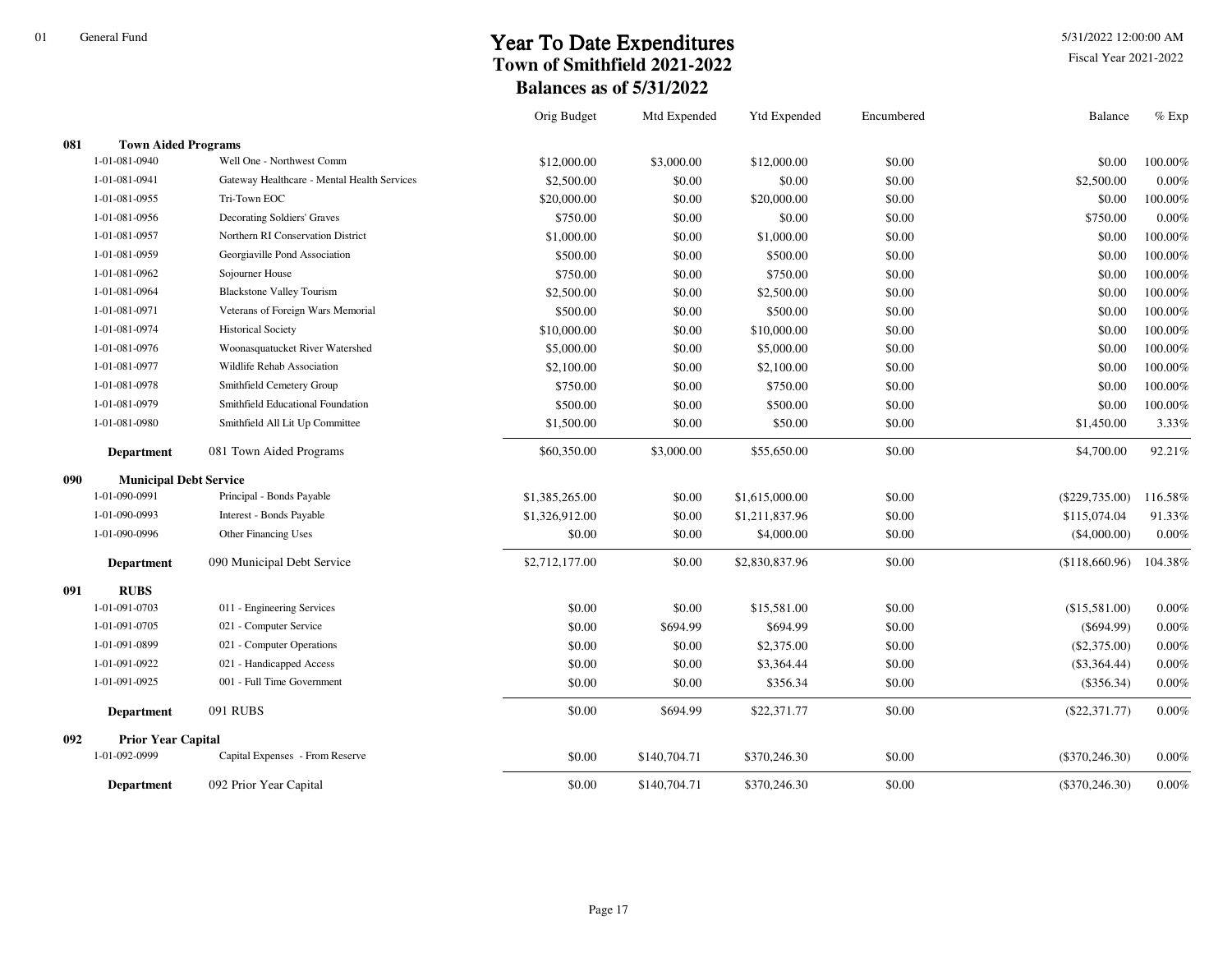5/31/2022 12:00:00 AM

|     |                               |                                             | Orig Budget    | Mtd Expended | <b>Ytd Expended</b> | Encumbered | Balance           | $%$ Exp |
|-----|-------------------------------|---------------------------------------------|----------------|--------------|---------------------|------------|-------------------|---------|
| 081 | <b>Town Aided Programs</b>    |                                             |                |              |                     |            |                   |         |
|     | 1-01-081-0940                 | Well One - Northwest Comm                   | \$12,000.00    | \$3,000.00   | \$12,000.00         | \$0.00     | \$0.00            | 100.00% |
|     | 1-01-081-0941                 | Gateway Healthcare - Mental Health Services | \$2,500.00     | \$0.00       | \$0.00              | \$0.00     | \$2,500.00        | 0.00%   |
|     | 1-01-081-0955                 | Tri-Town EOC                                | \$20,000.00    | \$0.00       | \$20,000.00         | \$0.00     | \$0.00            | 100.00% |
|     | 1-01-081-0956                 | Decorating Soldiers' Graves                 | \$750.00       | \$0.00       | \$0.00              | \$0.00     | \$750.00          | 0.00%   |
|     | 1-01-081-0957                 | Northern RI Conservation District           | \$1,000.00     | \$0.00       | \$1,000.00          | \$0.00     | \$0.00            | 100.00% |
|     | 1-01-081-0959                 | Georgiaville Pond Association               | \$500.00       | \$0.00       | \$500.00            | \$0.00     | \$0.00            | 100.00% |
|     | 1-01-081-0962                 | Sojourner House                             | \$750.00       | \$0.00       | \$750.00            | \$0.00     | \$0.00            | 100.00% |
|     | 1-01-081-0964                 | <b>Blackstone Valley Tourism</b>            | \$2,500.00     | \$0.00       | \$2,500.00          | \$0.00     | \$0.00            | 100.00% |
|     | 1-01-081-0971                 | Veterans of Foreign Wars Memorial           | \$500.00       | \$0.00       | \$500.00            | \$0.00     | \$0.00            | 100.00% |
|     | 1-01-081-0974                 | <b>Historical Society</b>                   | \$10,000.00    | \$0.00       | \$10,000.00         | \$0.00     | \$0.00            | 100.00% |
|     | 1-01-081-0976                 | Woonasquatucket River Watershed             | \$5,000.00     | \$0.00       | \$5,000.00          | \$0.00     | \$0.00            | 100.00% |
|     | 1-01-081-0977                 | Wildlife Rehab Association                  | \$2,100.00     | \$0.00       | \$2,100.00          | \$0.00     | \$0.00            | 100.00% |
|     | 1-01-081-0978                 | Smithfield Cemetery Group                   | \$750.00       | \$0.00       | \$750.00            | \$0.00     | \$0.00            | 100.00% |
|     | 1-01-081-0979                 | Smithfield Educational Foundation           | \$500.00       | \$0.00       | \$500.00            | \$0.00     | \$0.00            | 100.00% |
|     | 1-01-081-0980                 | Smithfield All Lit Up Committee             | \$1,500.00     | \$0.00       | \$50.00             | \$0.00     | \$1,450.00        | 3.33%   |
|     | <b>Department</b>             | 081 Town Aided Programs                     | \$60,350.00    | \$3,000.00   | \$55,650.00         | \$0.00     | \$4,700.00        | 92.21%  |
| 090 | <b>Municipal Debt Service</b> |                                             |                |              |                     |            |                   |         |
|     | 1-01-090-0991                 | Principal - Bonds Payable                   | \$1,385,265.00 | \$0.00       | \$1,615,000.00      | \$0.00     | $(\$229,735.00)$  | 116.58% |
|     | 1-01-090-0993                 | Interest - Bonds Payable                    | \$1,326,912.00 | \$0.00       | \$1,211,837.96      | \$0.00     | \$115,074.04      | 91.33%  |
|     | 1-01-090-0996                 | <b>Other Financing Uses</b>                 | \$0.00         | \$0.00       | \$4,000.00          | \$0.00     | (\$4,000.00)      | 0.00%   |
|     | <b>Department</b>             | 090 Municipal Debt Service                  | \$2,712,177.00 | \$0.00       | \$2,830,837.96      | \$0.00     | (\$118,660.96)    | 104.38% |
| 091 | <b>RUBS</b>                   |                                             |                |              |                     |            |                   |         |
|     | 1-01-091-0703                 | 011 - Engineering Services                  | \$0.00         | \$0.00       | \$15,581.00         | \$0.00     | (\$15,581.00)     | 0.00%   |
|     | 1-01-091-0705                 | 021 - Computer Service                      | \$0.00         | \$694.99     | \$694.99            | \$0.00     | $($ \$694.99)     | 0.00%   |
|     | 1-01-091-0899                 | 021 - Computer Operations                   | \$0.00         | \$0.00       | \$2,375.00          | \$0.00     | $(\$2,375.00)$    | 0.00%   |
|     | 1-01-091-0922                 | 021 - Handicapped Access                    | \$0.00         | \$0.00       | \$3,364.44          | \$0.00     | $(\$3,364.44)$    | 0.00%   |
|     | 1-01-091-0925                 | 001 - Full Time Government                  | \$0.00         | \$0.00       | \$356.34            | \$0.00     | (\$356.34)        | 0.00%   |
|     | <b>Department</b>             | 091 RUBS                                    | \$0.00         | \$694.99     | \$22,371.77         | \$0.00     | $(\$22,371.77)$   | 0.00%   |
| 092 | <b>Prior Year Capital</b>     |                                             |                |              |                     |            |                   |         |
|     | 1-01-092-0999                 | Capital Expenses - From Reserve             | \$0.00         | \$140,704.71 | \$370,246.30        | \$0.00     | $(\$370, 246.30)$ | 0.00%   |
|     | <b>Department</b>             | 092 Prior Year Capital                      | \$0.00         | \$140,704.71 | \$370,246.30        | \$0.00     | $(\$370,246.30)$  | 0.00%   |